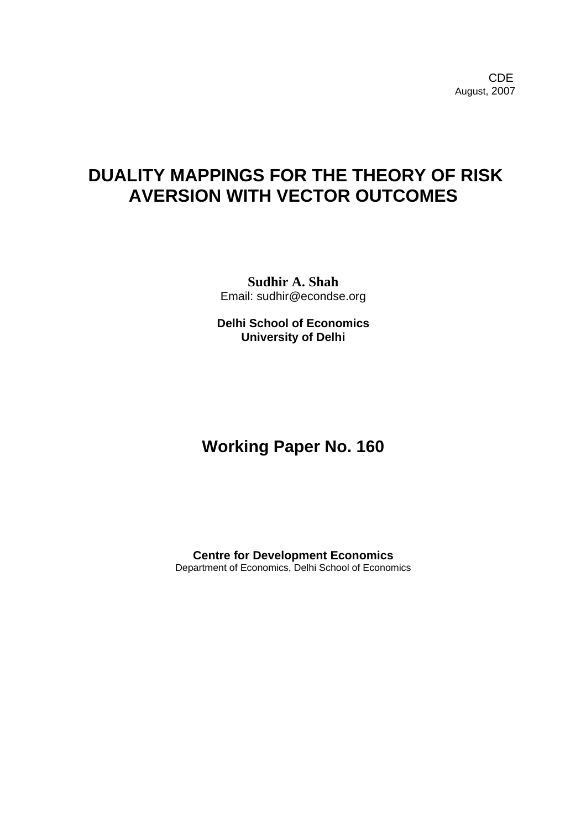**CDE COLLECTION** August, 2007

# **DUALITY MAPPINGS FOR THE THEORY OF RISK AVERSION WITH VECTOR OUTCOMES**

**Sudhir A. Shah**  Email: sudhir@econdse.org

**Delhi School of Economics University of Delhi** 

# **Working Paper No. 160**

**Centre for Development Economics**  Department of Economics, Delhi School of Economics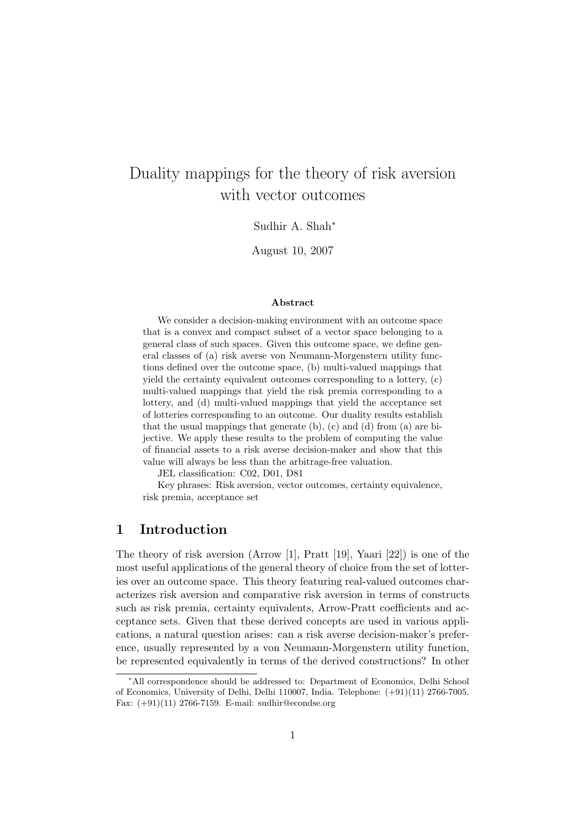# Duality mappings for the theory of risk aversion with vector outcomes

Sudhir A. Shah<sup>∗</sup>

August 10, 2007

#### Abstract

We consider a decision-making environment with an outcome space that is a convex and compact subset of a vector space belonging to a general class of such spaces. Given this outcome space, we define general classes of (a) risk averse von Neumann-Morgenstern utility functions defined over the outcome space, (b) multi-valued mappings that yield the certainty equivalent outcomes corresponding to a lottery, (c) multi-valued mappings that yield the risk premia corresponding to a lottery, and (d) multi-valued mappings that yield the acceptance set of lotteries corresponding to an outcome. Our duality results establish that the usual mappings that generate  $(b)$ ,  $(c)$  and  $(d)$  from  $(a)$  are bijective. We apply these results to the problem of computing the value of financial assets to a risk averse decision-maker and show that this value will always be less than the arbitrage-free valuation.

JEL classification: C02, D01, D81

Key phrases: Risk aversion, vector outcomes, certainty equivalence, risk premia, acceptance set

#### 1 Introduction

The theory of risk aversion (Arrow [1], Pratt [19], Yaari [22]) is one of the most useful applications of the general theory of choice from the set of lotteries over an outcome space. This theory featuring real-valued outcomes characterizes risk aversion and comparative risk aversion in terms of constructs such as risk premia, certainty equivalents, Arrow-Pratt coefficients and acceptance sets. Given that these derived concepts are used in various applications, a natural question arises: can a risk averse decision-maker's preference, usually represented by a von Neumann-Morgenstern utility function, be represented equivalently in terms of the derived constructions? In other

<sup>∗</sup>All correspondence should be addressed to: Department of Economics, Delhi School of Economics, University of Delhi, Delhi 110007, India. Telephone: (+91)(11) 2766-7005. Fax: (+91)(11) 2766-7159. E-mail: sudhir@econdse.org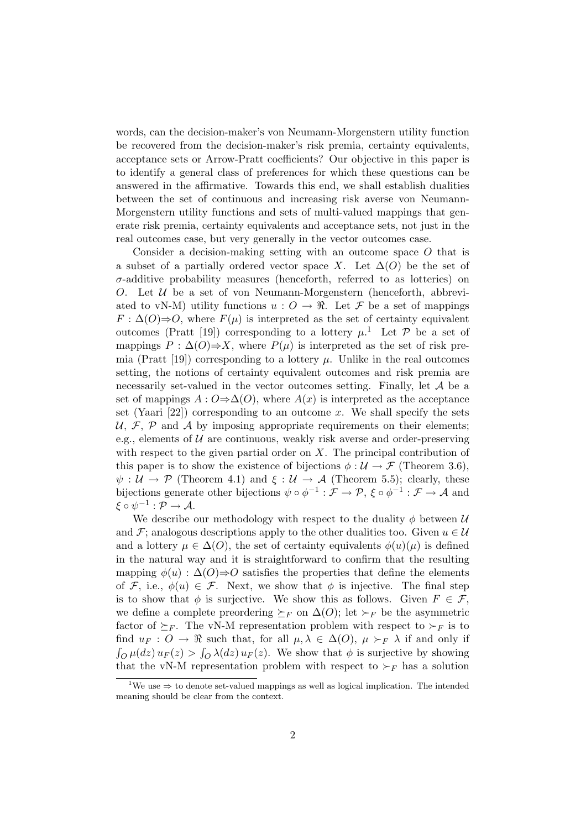words, can the decision-maker's von Neumann-Morgenstern utility function be recovered from the decision-maker's risk premia, certainty equivalents, acceptance sets or Arrow-Pratt coefficients? Our objective in this paper is to identify a general class of preferences for which these questions can be answered in the affirmative. Towards this end, we shall establish dualities between the set of continuous and increasing risk averse von Neumann-Morgenstern utility functions and sets of multi-valued mappings that generate risk premia, certainty equivalents and acceptance sets, not just in the real outcomes case, but very generally in the vector outcomes case.

Consider a decision-making setting with an outcome space O that is a subset of a partially ordered vector space X. Let  $\Delta(O)$  be the set of  $\sigma$ -additive probability measures (henceforth, referred to as lotteries) on O. Let  $U$  be a set of von Neumann-Morgenstern (henceforth, abbreviated to vN-M) utility functions  $u: O \to \Re$ . Let F be a set of mappings  $F: \Delta(O) \Rightarrow O$ , where  $F(\mu)$  is interpreted as the set of certainty equivalent outcomes (Pratt [19]) corresponding to a lottery  $\mu$ <sup>1</sup>. Let P be a set of mappings  $P : \Delta(O) \Rightarrow X$ , where  $P(\mu)$  is interpreted as the set of risk premia (Pratt [19]) corresponding to a lottery  $\mu$ . Unlike in the real outcomes setting, the notions of certainty equivalent outcomes and risk premia are necessarily set-valued in the vector outcomes setting. Finally, let  $A$  be a set of mappings  $A: O \Rightarrow \Delta(O)$ , where  $A(x)$  is interpreted as the acceptance set (Yaari [22]) corresponding to an outcome x. We shall specify the sets U, F, P and A by imposing appropriate requirements on their elements; e.g., elements of  $U$  are continuous, weakly risk averse and order-preserving with respect to the given partial order on  $X$ . The principal contribution of this paper is to show the existence of bijections  $\phi : \mathcal{U} \to \mathcal{F}$  (Theorem 3.6),  $\psi : \mathcal{U} \to \mathcal{P}$  (Theorem 4.1) and  $\xi : \mathcal{U} \to \mathcal{A}$  (Theorem 5.5); clearly, these bijections generate other bijections  $\psi \circ \phi^{-1} : \mathcal{F} \to \mathcal{P}, \xi \circ \phi^{-1} : \mathcal{F} \to \mathcal{A}$  and  $\xi\circ\psi^{-1}:\mathcal{P}\rightarrow\mathcal{A}.$ 

We describe our methodology with respect to the duality  $\phi$  between U and F; analogous descriptions apply to the other dualities too. Given  $u \in \mathcal{U}$ and a lottery  $\mu \in \Delta(O)$ , the set of certainty equivalents  $\phi(u)(\mu)$  is defined in the natural way and it is straightforward to confirm that the resulting mapping  $\phi(u)$ :  $\Delta(O) \Rightarrow O$  satisfies the properties that define the elements of F, i.e.,  $\phi(u) \in \mathcal{F}$ . Next, we show that  $\phi$  is injective. The final step is to show that  $\phi$  is surjective. We show this as follows. Given  $F \in \mathcal{F}$ , we define a complete preordering  $\succeq_F$  on  $\Delta(O)$ ; let  $\succ_F$  be the asymmetric factor of  $\succeq_F$ . The vN-M representation problem with respect to  $\succeq_F$  is to find  $u_F : O \to \Re$  such that, for all  $\mu, \lambda \in \Delta(O), \mu \succ_F \lambda$  if and only if  $\int_{O} \mu(dz) u_F(z) > \int_{O} \lambda(dz) u_F(z)$ . We show that  $\phi$  is surjective by showing that the vN-M representation problem with respect to  $\succ_F$  has a solution

<sup>&</sup>lt;sup>1</sup>We use  $\Rightarrow$  to denote set-valued mappings as well as logical implication. The intended meaning should be clear from the context.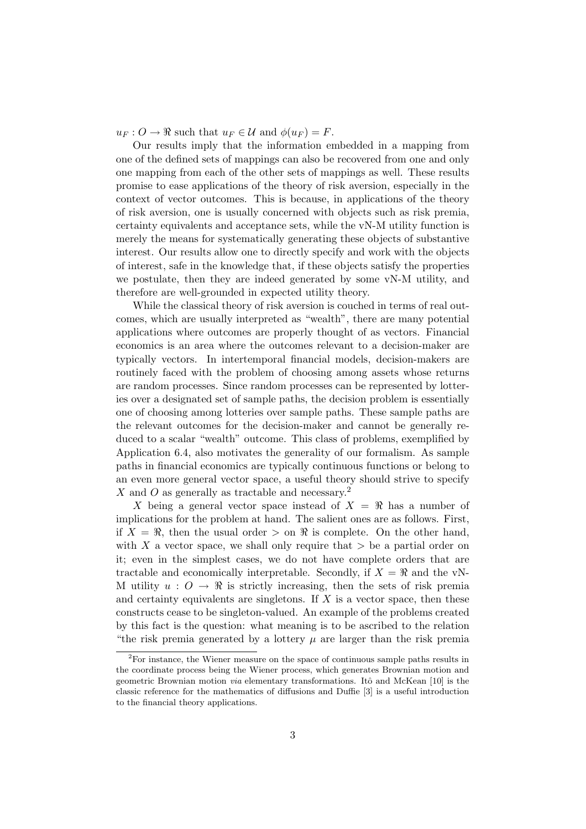$u_F: O \to \Re$  such that  $u_F \in \mathcal{U}$  and  $\phi(u_F) = F$ .

Our results imply that the information embedded in a mapping from one of the defined sets of mappings can also be recovered from one and only one mapping from each of the other sets of mappings as well. These results promise to ease applications of the theory of risk aversion, especially in the context of vector outcomes. This is because, in applications of the theory of risk aversion, one is usually concerned with objects such as risk premia, certainty equivalents and acceptance sets, while the vN-M utility function is merely the means for systematically generating these objects of substantive interest. Our results allow one to directly specify and work with the objects of interest, safe in the knowledge that, if these objects satisfy the properties we postulate, then they are indeed generated by some vN-M utility, and therefore are well-grounded in expected utility theory.

While the classical theory of risk aversion is couched in terms of real outcomes, which are usually interpreted as "wealth", there are many potential applications where outcomes are properly thought of as vectors. Financial economics is an area where the outcomes relevant to a decision-maker are typically vectors. In intertemporal financial models, decision-makers are routinely faced with the problem of choosing among assets whose returns are random processes. Since random processes can be represented by lotteries over a designated set of sample paths, the decision problem is essentially one of choosing among lotteries over sample paths. These sample paths are the relevant outcomes for the decision-maker and cannot be generally reduced to a scalar "wealth" outcome. This class of problems, exemplified by Application 6.4, also motivates the generality of our formalism. As sample paths in financial economics are typically continuous functions or belong to an even more general vector space, a useful theory should strive to specify X and O as generally as tractable and necessary.<sup>2</sup>

X being a general vector space instead of  $X = \mathbb{R}$  has a number of implications for the problem at hand. The salient ones are as follows. First, if  $X = \Re$ , then the usual order  $>$  on  $\Re$  is complete. On the other hand, with X a vector space, we shall only require that  $>$  be a partial order on it; even in the simplest cases, we do not have complete orders that are tractable and economically interpretable. Secondly, if  $X = \mathbb{R}$  and the vN-M utility  $u: O \to \Re$  is strictly increasing, then the sets of risk premia and certainty equivalents are singletons. If  $X$  is a vector space, then these constructs cease to be singleton-valued. An example of the problems created by this fact is the question: what meaning is to be ascribed to the relation "the risk premia generated by a lottery  $\mu$  are larger than the risk premia

 $2^2$ For instance, the Wiener measure on the space of continuous sample paths results in the coordinate process being the Wiener process, which generates Brownian motion and geometric Brownian motion *via* elementary transformations. Itô and McKean [10] is the classic reference for the mathematics of diffusions and Duffie [3] is a useful introduction to the financial theory applications.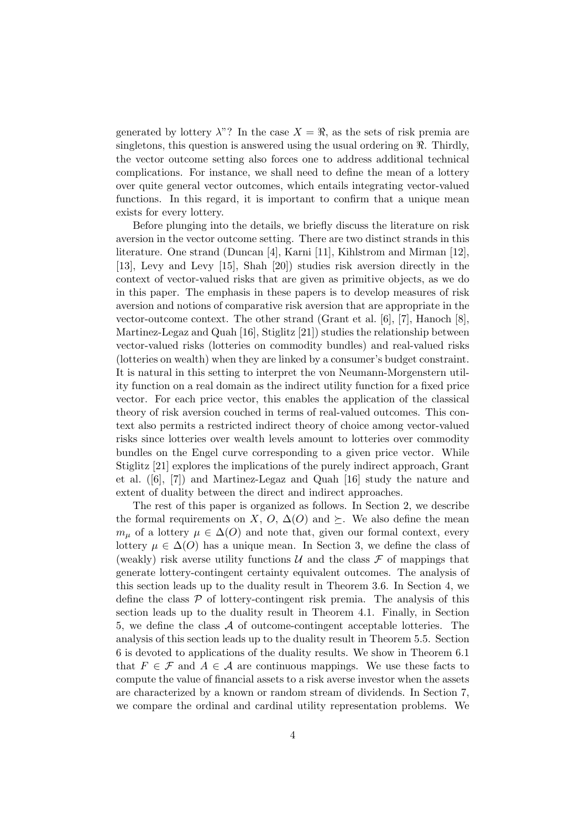generated by lottery  $\lambda$ "? In the case  $X = \Re$ , as the sets of risk premia are singletons, this question is answered using the usual ordering on  $\Re$ . Thirdly, the vector outcome setting also forces one to address additional technical complications. For instance, we shall need to define the mean of a lottery over quite general vector outcomes, which entails integrating vector-valued functions. In this regard, it is important to confirm that a unique mean exists for every lottery.

Before plunging into the details, we briefly discuss the literature on risk aversion in the vector outcome setting. There are two distinct strands in this literature. One strand (Duncan [4], Karni [11], Kihlstrom and Mirman [12], [13], Levy and Levy [15], Shah [20]) studies risk aversion directly in the context of vector-valued risks that are given as primitive objects, as we do in this paper. The emphasis in these papers is to develop measures of risk aversion and notions of comparative risk aversion that are appropriate in the vector-outcome context. The other strand (Grant et al. [6], [7], Hanoch [8], Martinez-Legaz and Quah [16], Stiglitz [21]) studies the relationship between vector-valued risks (lotteries on commodity bundles) and real-valued risks (lotteries on wealth) when they are linked by a consumer's budget constraint. It is natural in this setting to interpret the von Neumann-Morgenstern utility function on a real domain as the indirect utility function for a fixed price vector. For each price vector, this enables the application of the classical theory of risk aversion couched in terms of real-valued outcomes. This context also permits a restricted indirect theory of choice among vector-valued risks since lotteries over wealth levels amount to lotteries over commodity bundles on the Engel curve corresponding to a given price vector. While Stiglitz [21] explores the implications of the purely indirect approach, Grant et al. ([6], [7]) and Martinez-Legaz and Quah [16] study the nature and extent of duality between the direct and indirect approaches.

The rest of this paper is organized as follows. In Section 2, we describe the formal requirements on X, O,  $\Delta(O)$  and  $\succeq$ . We also define the mean  $m_{\mu}$  of a lottery  $\mu \in \Delta(O)$  and note that, given our formal context, every lottery  $\mu \in \Delta(O)$  has a unique mean. In Section 3, we define the class of (weakly) risk averse utility functions  $\mathcal U$  and the class  $\mathcal F$  of mappings that generate lottery-contingent certainty equivalent outcomes. The analysis of this section leads up to the duality result in Theorem 3.6. In Section 4, we define the class  $P$  of lottery-contingent risk premia. The analysis of this section leads up to the duality result in Theorem 4.1. Finally, in Section 5, we define the class A of outcome-contingent acceptable lotteries. The analysis of this section leads up to the duality result in Theorem 5.5. Section 6 is devoted to applications of the duality results. We show in Theorem 6.1 that  $F \in \mathcal{F}$  and  $A \in \mathcal{A}$  are continuous mappings. We use these facts to compute the value of financial assets to a risk averse investor when the assets are characterized by a known or random stream of dividends. In Section 7, we compare the ordinal and cardinal utility representation problems. We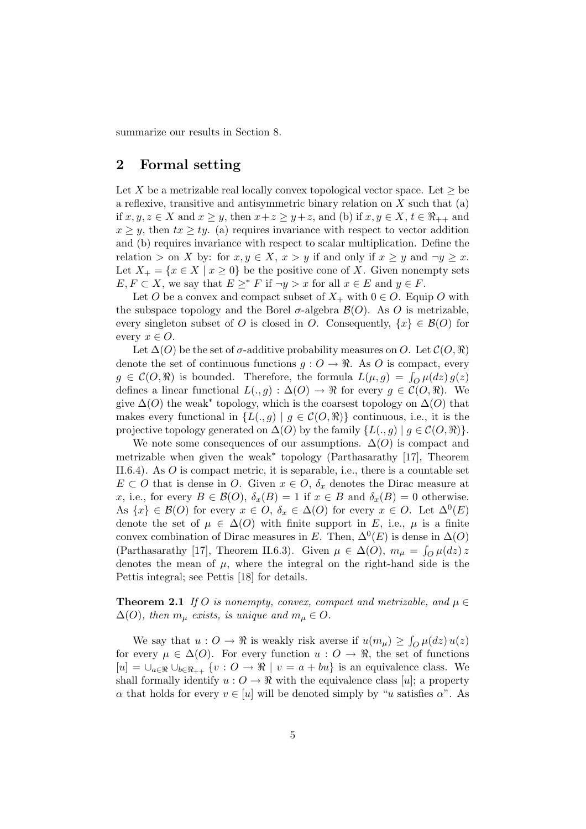summarize our results in Section 8.

## 2 Formal setting

Let X be a metrizable real locally convex topological vector space. Let  $\geq$  be a reflexive, transitive and antisymmetric binary relation on  $X$  such that (a) if  $x, y, z \in X$  and  $x \geq y$ , then  $x + z \geq y + z$ , and (b) if  $x, y \in X$ ,  $t \in \Re_{++}$  and  $x \geq y$ , then  $tx \geq ty$ . (a) requires invariance with respect to vector addition and (b) requires invariance with respect to scalar multiplication. Define the relation > on X by: for  $x, y \in X$ ,  $x > y$  if and only if  $x \ge y$  and  $\neg y \ge x$ . Let  $X_+ = \{x \in X \mid x \geq 0\}$  be the positive cone of X. Given nonempty sets  $E, F \subset X$ , we say that  $E \geq^* F$  if  $\neg y > x$  for all  $x \in E$  and  $y \in F$ .

Let O be a convex and compact subset of  $X_+$  with  $0 \in O$ . Equip O with the subspace topology and the Borel  $\sigma$ -algebra  $\mathcal{B}(O)$ . As O is metrizable, every singleton subset of O is closed in O. Consequently,  $\{x\} \in \mathcal{B}(O)$  for every  $x \in O$ .

Let  $\Delta(O)$  be the set of  $\sigma$ -additive probability measures on O. Let  $\mathcal{C}(O, \Re)$ denote the set of continuous functions  $g: O \to \mathbb{R}$ . As O is compact, every  $g \in C(O, \mathbb{R})$  is bounded. Therefore, the formula  $L(\mu, g) = \int_{O} \mu(dz) g(z)$ defines a linear functional  $L(., g) : \Delta(O) \to \Re$  for every  $g \in \mathcal{C}(O, \Re)$ . We give  $\Delta(O)$  the weak<sup>\*</sup> topology, which is the coarsest topology on  $\Delta(O)$  that makes every functional in  $\{L(.,g) | g \in C(O,\mathbb{R})\}$  continuous, i.e., it is the projective topology generated on  $\Delta(O)$  by the family  $\{L(.,g) \mid g \in C(O,\Re)\}.$ 

We note some consequences of our assumptions.  $\Delta(O)$  is compact and metrizable when given the weak<sup>∗</sup> topology (Parthasarathy [17], Theorem II.6.4). As O is compact metric, it is separable, i.e., there is a countable set  $E \subset O$  that is dense in O. Given  $x \in O$ ,  $\delta_x$  denotes the Dirac measure at x, i.e., for every  $B \in \mathcal{B}(O)$ ,  $\delta_x(B) = 1$  if  $x \in B$  and  $\delta_x(B) = 0$  otherwise. As  $\{x\} \in \mathcal{B}(O)$  for every  $x \in O, \ \delta_x \in \Delta(O)$  for every  $x \in O$ . Let  $\Delta^0(E)$ denote the set of  $\mu \in \Delta(O)$  with finite support in E, i.e.,  $\mu$  is a finite convex combination of Dirac measures in E. Then,  $\Delta^{0}(E)$  is dense in  $\Delta(O)$ (Parthasarathy [17], Theorem II.6.3). Given  $\mu \in \Delta(O)$ ,  $m_{\mu} = \int_{O} \mu(dz) z$ denotes the mean of  $\mu$ , where the integral on the right-hand side is the Pettis integral; see Pettis [18] for details.

**Theorem 2.1** If O is nonempty, convex, compact and metrizable, and  $\mu \in$  $\Delta(O)$ , then  $m_{\mu}$  exists, is unique and  $m_{\mu} \in O$ .

We say that  $u: O \to \Re$  is weakly risk averse if  $u(m_\mu) \geq \beta$  $\int_{O}\mu(dz)\,u(z)$ for every  $\mu \in \Delta(O)$ . For every function  $u: O \to \Re$ , the set of functions  $[u] = \bigcup_{a \in \Re} \bigcup_{b \in \Re_{++}} \{v : O \to \Re \mid v = a + bu\}$  is an equivalence class. We shall formally identify  $u: O \to \mathbb{R}$  with the equivalence class [u]; a property  $\alpha$  that holds for every  $v \in [u]$  will be denoted simply by "u satisfies  $\alpha$ ". As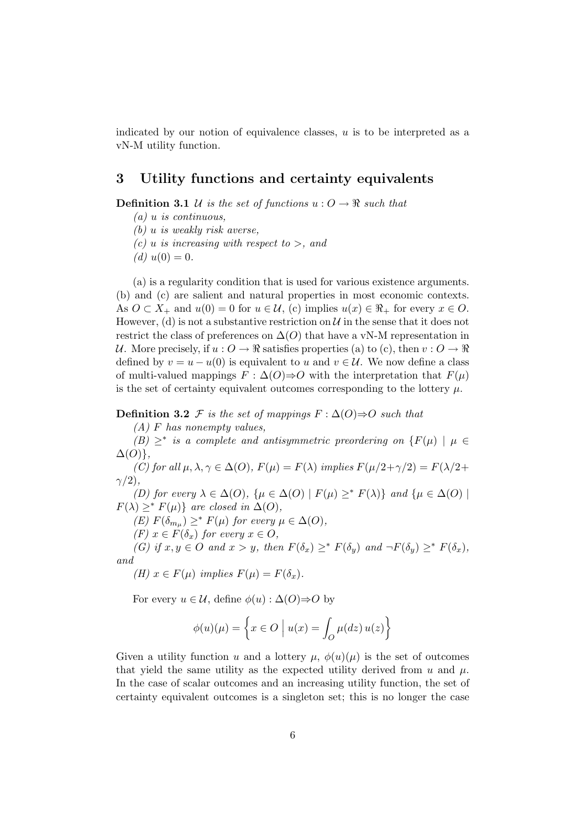indicated by our notion of equivalence classes, u is to be interpreted as a vN-M utility function.

### 3 Utility functions and certainty equivalents

**Definition 3.1** U is the set of functions  $u: O \to \mathbb{R}$  such that

- $(a)$  u is continuous,
- (b) u is weakly risk averse,
- (c) u is increasing with respect to  $>$ , and
- (d)  $u(0) = 0$ .

(a) is a regularity condition that is used for various existence arguments. (b) and (c) are salient and natural properties in most economic contexts. As  $O \subset X_+$  and  $u(0) = 0$  for  $u \in \mathcal{U}$ , (c) implies  $u(x) \in \mathbb{R}_+$  for every  $x \in O$ . However, (d) is not a substantive restriction on  $\mathcal U$  in the sense that it does not restrict the class of preferences on  $\Delta(O)$  that have a vN-M representation in U. More precisely, if  $u: O \to \Re$  satisfies properties (a) to (c), then  $v: O \to \Re$ defined by  $v = u - u(0)$  is equivalent to u and  $v \in U$ . We now define a class of multi-valued mappings  $F : \Delta(O) \Rightarrow O$  with the interpretation that  $F(\mu)$ is the set of certainty equivalent outcomes corresponding to the lottery  $\mu$ .

**Definition 3.2** F is the set of mappings  $F : \Delta(O) \Rightarrow O$  such that

 $(A)$  F has nonempty values.

(B)  $\geq^*$  is a complete and antisymmetric preordering on {F(µ) | µ ∈  $\Delta(O)$ ,

(C) for all  $\mu, \lambda, \gamma \in \Delta(O)$ ,  $F(\mu) = F(\lambda)$  implies  $F(\mu/2 + \gamma/2) = F(\lambda/2 + \gamma/2)$  $\gamma/2),$ 

(D) for every  $\lambda \in \Delta(O)$ ,  $\{\mu \in \Delta(O) \mid F(\mu) \geq^* F(\lambda)\}\$  and  $\{\mu \in \Delta(O) \mid$  $F(\lambda) \geq^* F(\mu)$  are closed in  $\Delta(O)$ ,

(E)  $F(\delta_{m_\mu}) \geq^* F(\mu)$  for every  $\mu \in \Delta(O)$ ,

(F)  $x \in F(\delta_x)$  for every  $x \in O$ ,

(G) if  $x, y \in O$  and  $x > y$ , then  $F(\delta_x) \geq^* F(\delta_y)$  and  $\neg F(\delta_y) \geq^* F(\delta_x)$ , and

(H)  $x \in F(\mu)$  implies  $F(\mu) = F(\delta_x)$ .

For every  $u \in \mathcal{U}$ , define  $\phi(u) : \Delta(O) \Rightarrow O$  by

$$
\phi(u)(\mu) = \left\{ x \in O \mid u(x) = \int_O \mu(dz) u(z) \right\}
$$

Given a utility function u and a lottery  $\mu$ ,  $\phi(u)(\mu)$  is the set of outcomes that yield the same utility as the expected utility derived from u and  $\mu$ . In the case of scalar outcomes and an increasing utility function, the set of certainty equivalent outcomes is a singleton set; this is no longer the case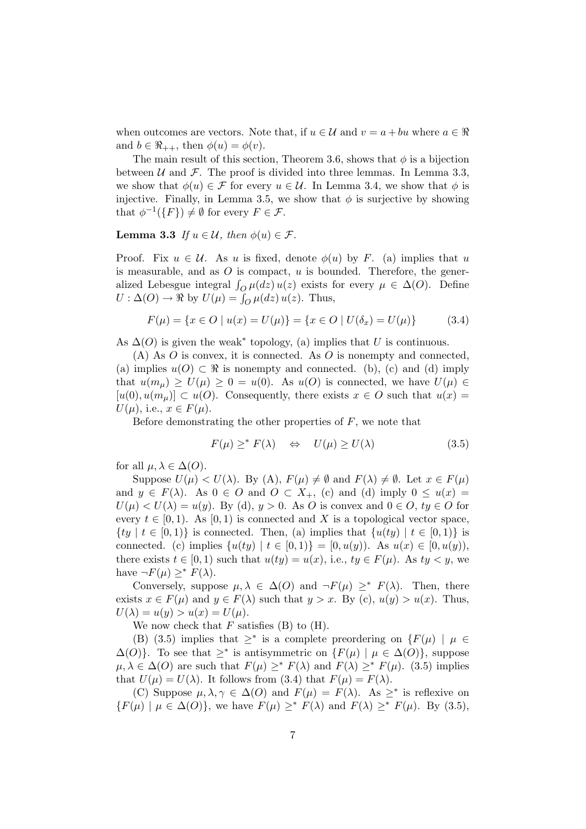when outcomes are vectors. Note that, if  $u \in \mathcal{U}$  and  $v = a + bu$  where  $a \in \Re$ and  $b \in \Re_{++}$ , then  $\phi(u) = \phi(v)$ .

The main result of this section, Theorem 3.6, shows that  $\phi$  is a bijection between U and F. The proof is divided into three lemmas. In Lemma 3.3, we show that  $\phi(u) \in \mathcal{F}$  for every  $u \in \mathcal{U}$ . In Lemma 3.4, we show that  $\phi$  is injective. Finally, in Lemma 3.5, we show that  $\phi$  is surjective by showing that  $\phi^{-1}(\lbrace F \rbrace) \neq \emptyset$  for every  $F \in \mathcal{F}$ .

**Lemma 3.3** If  $u \in \mathcal{U}$ , then  $\phi(u) \in \mathcal{F}$ .

Proof. Fix  $u \in \mathcal{U}$ . As u is fixed, denote  $\phi(u)$  by F. (a) implies that u is measurable, and as  $O$  is compact,  $u$  is bounded. Therefore, the generalized Lebesgue integral  $\int_{Q} \mu(dz) u(z)$  exists for every  $\mu \in \Delta(Q)$ . Define anzed Lebesgue Integral  $J_O \mu(a z) u(z)$  exists 1<br>  $U : \Delta(O) \to \Re$  by  $U(\mu) = \int_O \mu(dz) u(z)$ . Thus,

$$
F(\mu) = \{ x \in O \mid u(x) = U(\mu) \} = \{ x \in O \mid U(\delta_x) = U(\mu) \}
$$
(3.4)

As  $\Delta(O)$  is given the weak<sup>\*</sup> topology, (a) implies that U is continuous.

 $(A)$  As O is convex, it is connected. As O is nonempty and connected, (a) implies  $u(O) \subset \Re$  is nonempty and connected. (b), (c) and (d) imply that  $u(m_u) \ge U(\mu) \ge 0 = u(0)$ . As  $u(O)$  is connected, we have  $U(\mu) \in$  $[u(0), u(m_\mu)] \subset u(O)$ . Consequently, there exists  $x \in O$  such that  $u(x) =$  $U(\mu)$ , i.e.,  $x \in F(\mu)$ .

Before demonstrating the other properties of  $F$ , we note that

$$
F(\mu) \geq^* F(\lambda) \quad \Leftrightarrow \quad U(\mu) \geq U(\lambda) \tag{3.5}
$$

for all  $\mu, \lambda \in \Delta(O)$ .

Suppose  $U(\mu) < U(\lambda)$ . By (A),  $F(\mu) \neq \emptyset$  and  $F(\lambda) \neq \emptyset$ . Let  $x \in F(\mu)$ and  $y \in F(\lambda)$ . As  $0 \in O$  and  $O \subset X_+$ , (c) and (d) imply  $0 \leq u(x) =$  $U(\mu) < U(\lambda) = u(y)$ . By (d),  $y > 0$ . As O is convex and  $0 \in O$ ,  $ty \in O$  for every  $t \in [0, 1)$ . As  $[0, 1)$  is connected and X is a topological vector space,  $\{ty \mid t \in [0,1)\}\$ is connected. Then, (a) implies that  $\{u(ty) \mid t \in [0,1)\}\$ is connected. (c) implies  $\{u(ty) | t \in [0,1)\} = [0, u(y)]$ . As  $u(x) \in [0, u(y)]$ , there exists  $t \in [0, 1)$  such that  $u(ty) = u(x)$ , i.e.,  $ty \in F(\mu)$ . As  $ty < y$ , we have  $\neg F(\mu) \geq^* F(\lambda)$ .

Conversely, suppose  $\mu, \lambda \in \Delta(O)$  and  $\neg F(\mu) \geq^* F(\lambda)$ . Then, there exists  $x \in F(\mu)$  and  $y \in F(\lambda)$  such that  $y > x$ . By (c),  $u(y) > u(x)$ . Thus,  $U(\lambda) = u(y) > u(x) = U(\mu).$ 

We now check that  $F$  satisfies (B) to (H).

(B) (3.5) implies that  $\geq^*$  is a complete preordering on  $\{F(\mu) \mid \mu \in$  $\Delta(O)$ . To see that  $\geq^*$  is antisymmetric on  $\{F(\mu) \mid \mu \in \Delta(O)\}\$ , suppose  $\mu, \lambda \in \Delta(O)$  are such that  $F(\mu) \geq^* F(\lambda)$  and  $F(\lambda) \geq^* F(\mu)$ . (3.5) implies that  $U(\mu) = U(\lambda)$ . It follows from (3.4) that  $F(\mu) = F(\lambda)$ .

(C) Suppose  $\mu, \lambda, \gamma \in \Delta(O)$  and  $F(\mu) = F(\lambda)$ . As  $\geq^*$  is reflexive on  ${F(\mu) \mid \mu \in \Delta(O)}$ , we have  $F(\mu) \geq^* F(\lambda)$  and  $F(\lambda) \geq^* F(\mu)$ . By (3.5),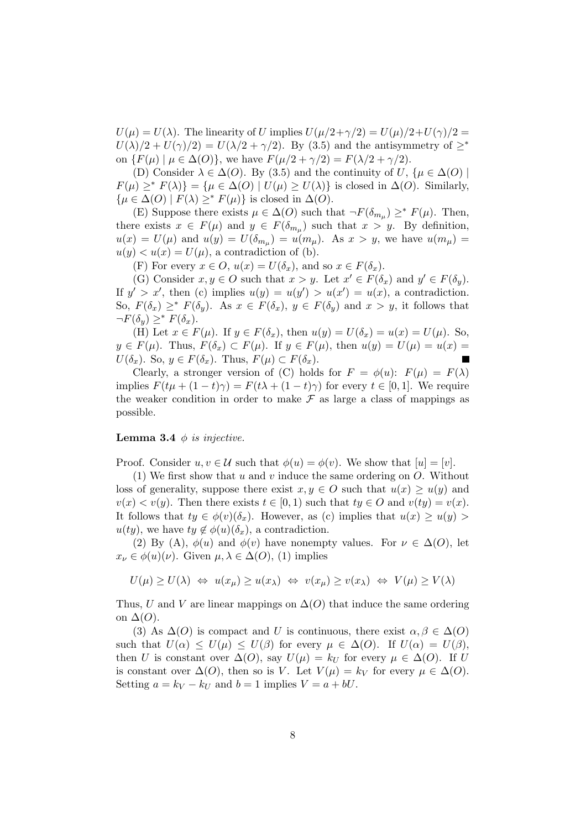$U(\mu) = U(\lambda)$ . The linearity of U implies  $U(\mu/2 + \gamma/2) = U(\mu)/2 + U(\gamma)/2 =$  $U(\lambda)/2 + U(\gamma)/2 = U(\lambda/2 + \gamma/2)$ . By (3.5) and the antisymmetry of  $\geq^*$ on  $\{F(\mu) \mid \mu \in \Delta(O)\}\)$ , we have  $F(\mu/2 + \gamma/2) = F(\lambda/2 + \gamma/2)$ .

(D) Consider  $\lambda \in \Delta(O)$ . By (3.5) and the continuity of U, { $\mu \in \Delta(O)$  |  $F(\mu) \geq^* F(\lambda) = {\mu \in \Delta(O) | U(\mu) \geq U(\lambda)}$  is closed in  $\Delta(O)$ . Similarly,  $\{\mu \in \Delta(O) \mid F(\lambda) \geq^* F(\mu)\}\$ is closed in  $\Delta(O)$ .

(E) Suppose there exists  $\mu \in \Delta(O)$  such that  $\neg F(\delta_{m_\mu}) \geq^* F(\mu)$ . Then, there exists  $x \in F(\mu)$  and  $y \in F(\delta_{m_\mu})$  such that  $x > y$ . By definition,  $u(x) = U(\mu)$  and  $u(y) = U(\delta_{m_\mu}) = u(m_\mu)$ . As  $x > y$ , we have  $u(m_\mu) =$  $u(y) < u(x) = U(\mu)$ , a contradiction of (b).

(F) For every  $x \in O$ ,  $u(x) = U(\delta_x)$ , and so  $x \in F(\delta_x)$ .

(G) Consider  $x, y \in O$  such that  $x > y$ . Let  $x' \in F(\delta_x)$  and  $y' \in F(\delta_y)$ . If  $y' > x'$ , then (c) implies  $u(y) = u(y') > u(x') = u(x)$ , a contradiction. So,  $F(\delta_x) \geq^* F(\delta_y)$ . As  $x \in F(\delta_x)$ ,  $y \in F(\delta_y)$  and  $x > y$ , it follows that  $\neg F(\delta_u) \geq^* F(\delta_x)$ .

(H) Let  $x \in F(\mu)$ . If  $y \in F(\delta_x)$ , then  $u(y) = U(\delta_x) = u(x) = U(\mu)$ . So,  $y \in F(\mu)$ . Thus,  $F(\delta_x) \subset F(\mu)$ . If  $y \in F(\mu)$ , then  $u(y) = U(\mu) = u(x) =$  $U(\delta_x)$ . So,  $y \in F(\delta_x)$ . Thus,  $F(\mu) \subset F(\delta_x)$ .

Clearly, a stronger version of (C) holds for  $F = \phi(u)$ :  $F(u) = F(\lambda)$ implies  $F(t\mu + (1-t)\gamma) = F(t\lambda + (1-t)\gamma)$  for every  $t \in [0,1]$ . We require the weaker condition in order to make  $\mathcal F$  as large a class of mappings as possible.

#### **Lemma 3.4**  $\phi$  is injective.

Proof. Consider  $u, v \in \mathcal{U}$  such that  $\phi(u) = \phi(v)$ . We show that  $[u] = [v]$ .

(1) We first show that u and v induce the same ordering on  $O$ . Without loss of generality, suppose there exist  $x, y \in O$  such that  $u(x) \ge u(y)$  and  $v(x) < v(y)$ . Then there exists  $t \in [0, 1)$  such that  $ty \in O$  and  $v(ty) = v(x)$ . It follows that  $ty \in \phi(v)(\delta_x)$ . However, as (c) implies that  $u(x) \geq u(y)$  $u(ty)$ , we have  $ty \notin \phi(u)(\delta_x)$ , a contradiction.

(2) By (A),  $\phi(u)$  and  $\phi(v)$  have nonempty values. For  $\nu \in \Delta(O)$ , let  $x_{\nu} \in \phi(u)(\nu)$ . Given  $\mu, \lambda \in \Delta(O)$ , (1) implies

$$
U(\mu) \geq U(\lambda) \iff u(x_{\mu}) \geq u(x_{\lambda}) \iff v(x_{\mu}) \geq v(x_{\lambda}) \iff V(\mu) \geq V(\lambda)
$$

Thus, U and V are linear mappings on  $\Delta(O)$  that induce the same ordering on  $\Delta(O)$ .

(3) As  $\Delta(O)$  is compact and U is continuous, there exist  $\alpha, \beta \in \Delta(O)$ such that  $U(\alpha) \leq U(\mu) \leq U(\beta)$  for every  $\mu \in \Delta(O)$ . If  $U(\alpha) = U(\beta)$ , then U is constant over  $\Delta(O)$ , say  $U(\mu) = k_U$  for every  $\mu \in \Delta(O)$ . If U is constant over  $\Delta(O)$ , then so is V. Let  $V(\mu) = k_V$  for every  $\mu \in \Delta(O)$ . Setting  $a = k_V - k_U$  and  $b = 1$  implies  $V = a + bU$ .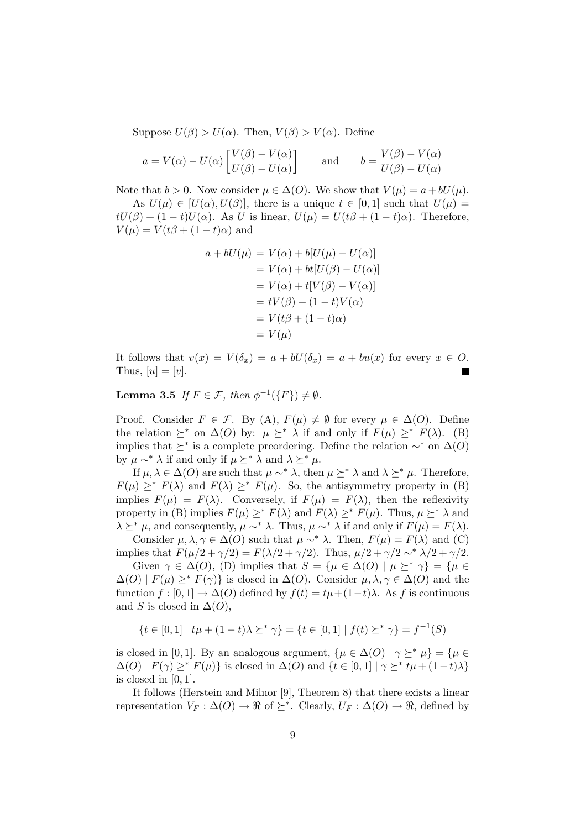Suppose  $U(\beta) > U(\alpha)$ . Then,  $V(\beta) > V(\alpha)$ . Define

$$
a = V(\alpha) - U(\alpha) \left[ \frac{V(\beta) - V(\alpha)}{U(\beta) - U(\alpha)} \right]
$$
 and  $b = \frac{V(\beta) - V(\alpha)}{U(\beta) - U(\alpha)}$ 

Note that  $b > 0$ . Now consider  $\mu \in \Delta(O)$ . We show that  $V(\mu) = a + bU(\mu)$ .

As  $U(\mu) \in [U(\alpha), U(\beta)]$ , there is a unique  $t \in [0, 1]$  such that  $U(\mu) =$  $tU(\beta) + (1-t)U(\alpha)$ . As U is linear,  $U(\mu) = U(t\beta + (1-t)\alpha)$ . Therefore,  $V(\mu) = V(t\beta + (1-t)\alpha)$  and

$$
a + bU(\mu) = V(\alpha) + b[U(\mu) - U(\alpha)]
$$
  
=  $V(\alpha) + bt[U(\beta) - U(\alpha)]$   
=  $V(\alpha) + t[V(\beta) - V(\alpha)]$   
=  $tV(\beta) + (1 - t)V(\alpha)$   
=  $V(t\beta + (1 - t)\alpha)$   
=  $V(\mu)$ 

It follows that  $v(x) = V(\delta_x) = a + bU(\delta_x) = a + bu(x)$  for every  $x \in O$ . Thus,  $[u] = [v]$ .

**Lemma 3.5** If  $F \in \mathcal{F}$ , then  $\phi^{-1}(\{F\}) \neq \emptyset$ .

Proof. Consider  $F \in \mathcal{F}$ . By (A),  $F(\mu) \neq \emptyset$  for every  $\mu \in \Delta(O)$ . Define the relation  $\succeq^*$  on  $\Delta(O)$  by:  $\mu \succeq^* \lambda$  if and only if  $F(\mu) \geq^* F(\lambda)$ . (B) implies that  $\succeq^*$  is a complete preordering. Define the relation  $\sim^*$  on  $\Delta(O)$ by  $\mu \sim^* \lambda$  if and only if  $\mu \succeq^* \lambda$  and  $\lambda \succeq^* \mu$ .

If  $\mu, \lambda \in \Delta(O)$  are such that  $\mu \sim^* \lambda$ , then  $\mu \succeq^* \lambda$  and  $\lambda \succeq^* \mu$ . Therefore,  $F(\mu) \geq^* F(\lambda)$  and  $F(\lambda) \geq^* F(\mu)$ . So, the antisymmetry property in (B) implies  $F(\mu) = F(\lambda)$ . Conversely, if  $F(\mu) = F(\lambda)$ , then the reflexivity property in (B) implies  $F(\mu) \geq^* F(\lambda)$  and  $F(\lambda) \geq^* F(\mu)$ . Thus,  $\mu \geq^* \lambda$  and  $\lambda \succeq^* \mu$ , and consequently,  $\mu \sim^* \lambda$ . Thus,  $\mu \sim^* \lambda$  if and only if  $F(\mu) = F(\lambda)$ .

Consider  $\mu, \lambda, \gamma \in \Delta(O)$  such that  $\mu \sim^* \lambda$ . Then,  $F(\mu) = F(\lambda)$  and (C) implies that  $F(\mu/2 + \gamma/2) = F(\lambda/2 + \gamma/2)$ . Thus,  $\mu/2 + \gamma/2 \sim^* \lambda/2 + \gamma/2$ .

Given  $\gamma \in \Delta(O)$ , (D) implies that  $S = {\mu \in \Delta(O) \mid \mu \succeq^* \gamma} = {\mu \in \Delta(O)}$  $\Delta(O) | F(\mu) \geq^* F(\gamma)$  is closed in  $\Delta(O)$ . Consider  $\mu, \lambda, \gamma \in \Delta(O)$  and the function  $f : [0,1] \to \Delta(O)$  defined by  $f(t) = t\mu + (1-t)\lambda$ . As f is continuous and S is closed in  $\Delta(O)$ ,

$$
\{t \in [0,1] \mid t\mu + (1-t)\lambda \geq^* \gamma\} = \{t \in [0,1] \mid f(t) \geq^* \gamma\} = f^{-1}(S)
$$

is closed in [0, 1]. By an analogous argument,  $\{\mu \in \Delta(O) \mid \gamma \succeq^* \mu\} = \{\mu \in$  $\Delta(O) | F(\gamma) \geq^* F(\mu)$  is closed in  $\Delta(O)$  and  $\{t \in [0,1] | \gamma \geq^* t\mu + (1-t)\lambda\}$ is closed in  $[0, 1]$ .

It follows (Herstein and Milnor [9], Theorem 8) that there exists a linear representation  $V_F: \Delta(O) \to \Re$  of  $\succeq^*$ . Clearly,  $U_F: \Delta(O) \to \Re$ , defined by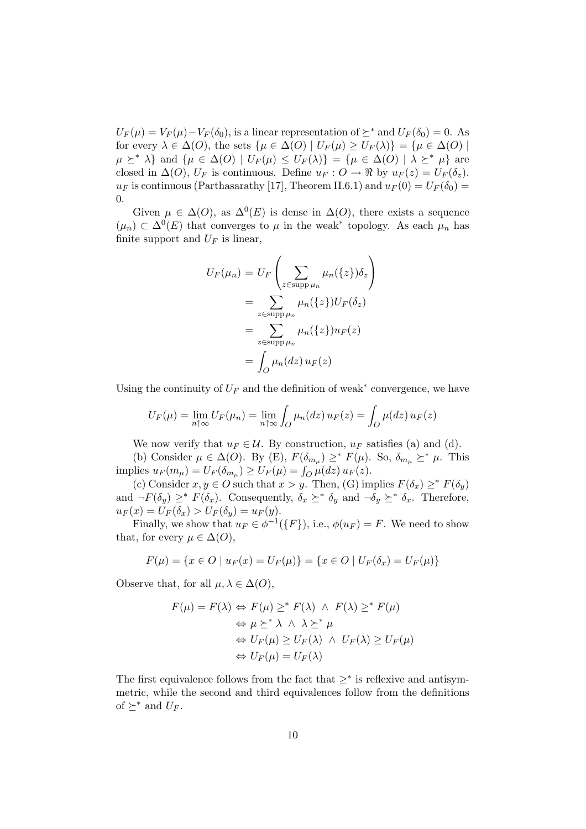$U_F(\mu) = V_F(\mu) - V_F(\delta_0)$ , is a linear representation of  $\succeq^*$  and  $U_F(\delta_0) = 0$ . As for every  $\lambda \in \Delta(O)$ , the sets  $\{\mu \in \Delta(O) \mid U_F(\mu) \geq U_F(\lambda)\} = \{\mu \in \Delta(O) \mid$  $\mu \succeq^* \lambda$  and  $\{\mu \in \Delta(O) \mid U_F(\mu) \leq U_F(\lambda)\} = \{\mu \in \Delta(O) \mid \lambda \succeq^* \mu\}$  are closed in  $\Delta(O)$ ,  $U_F$  is continuous. Define  $u_F : O \to \Re$  by  $u_F(z) = U_F(\delta_z)$ .  $u_F$  is continuous (Parthasarathy [17], Theorem II.6.1) and  $u_F(0) = U_F(\delta_0)$  = 0.

Given  $\mu \in \Delta(O)$ , as  $\Delta^{0}(E)$  is dense in  $\Delta(O)$ , there exists a sequence  $(\mu_n) \subset \Delta^0(E)$  that converges to  $\mu$  in the weak<sup>\*</sup> topology. As each  $\mu_n$  has finite support and  $U_F$  is linear,

$$
U_F(\mu_n) = U_F \left( \sum_{z \in \text{supp}\,\mu_n} \mu_n(\{z\}) \delta_z \right)
$$
  
= 
$$
\sum_{z \in \text{supp}\,\mu_n} \mu_n(\{z\}) U_F(\delta_z)
$$
  
= 
$$
\sum_{z \in \text{supp}\,\mu_n} \mu_n(\{z\}) u_F(z)
$$
  
= 
$$
\int_O \mu_n(dz) u_F(z)
$$

Using the continuity of  $U_F$  and the definition of weak<sup>\*</sup> convergence, we have

$$
U_F(\mu) = \lim_{n \uparrow \infty} U_F(\mu_n) = \lim_{n \uparrow \infty} \int_O \mu_n(dz) u_F(z) = \int_O \mu(dz) u_F(z)
$$

We now verify that  $u_F \in \mathcal{U}$ . By construction,  $u_F$  satisfies (a) and (d).

(b) Consider  $\mu \in \Delta(O)$ . By (E),  $F(\delta_{m_{\mu}}) \geq^* F(\mu)$ . So,  $\delta_{m_{\mu}} \geq^* \mu$ . This implies  $u_F(m_\mu) = U_F(\delta_{m_\mu}) \ge U_F(\mu) = \int_Q \mu(dz) u_F(z)$ .

(c) Consider  $x, y \in O$  such that  $x > y$ . Then, (G) implies  $F(\delta_x) \geq^* F(\delta_y)$ and  $\neg F(\delta_y) \geq^* F(\delta_x)$ . Consequently,  $\delta_x \succeq^* \delta_y$  and  $\neg \delta_y \succeq^* \delta_x$ . Therefore,  $u_F(x) = U_F(\delta_x) > U_F(\delta_y) = u_F(y).$ 

Finally, we show that  $u_F \in \phi^{-1}(\{F\})$ , i.e.,  $\phi(u_F) = F$ . We need to show that, for every  $\mu \in \Delta(O)$ ,

$$
F(\mu) = \{ x \in O \mid u_F(x) = U_F(\mu) \} = \{ x \in O \mid U_F(\delta_x) = U_F(\mu) \}
$$

Observe that, for all  $\mu, \lambda \in \Delta(O)$ ,

$$
F(\mu) = F(\lambda) \Leftrightarrow F(\mu) \geq^* F(\lambda) \land F(\lambda) \geq^* F(\mu)
$$
  
\n
$$
\Leftrightarrow \mu \geq^* \lambda \land \lambda \geq^* \mu
$$
  
\n
$$
\Leftrightarrow U_F(\mu) \geq U_F(\lambda) \land U_F(\lambda) \geq U_F(\mu)
$$
  
\n
$$
\Leftrightarrow U_F(\mu) = U_F(\lambda)
$$

The first equivalence follows from the fact that  $\geq^*$  is reflexive and antisymmetric, while the second and third equivalences follow from the definitions of  $\succeq^*$  and  $U_F$ .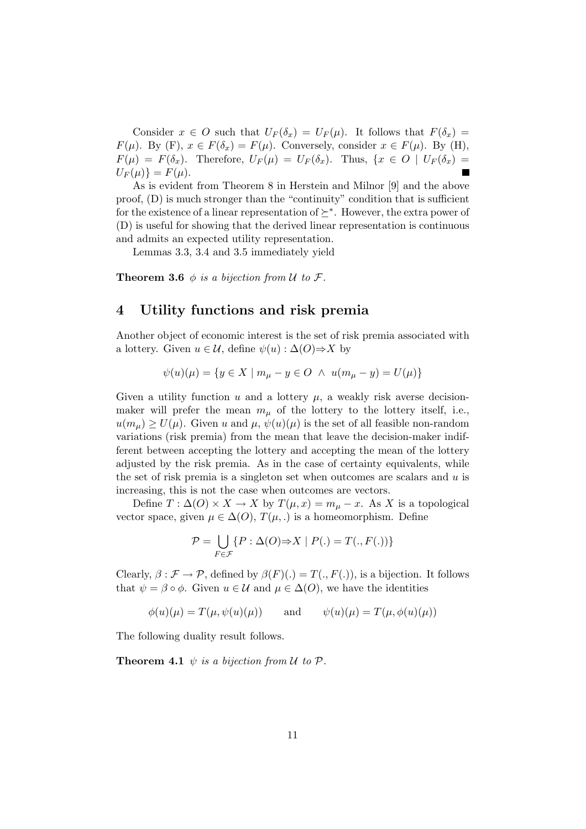Consider  $x \in O$  such that  $U_F(\delta_x) = U_F(\mu)$ . It follows that  $F(\delta_x) =$  $F(\mu)$ . By (F),  $x \in F(\delta_x) = F(\mu)$ . Conversely, consider  $x \in F(\mu)$ . By (H),  $F(\mu) = F(\delta_x)$ . Therefore,  $U_F(\mu) = U_F(\delta_x)$ . Thus,  $\{x \in O \mid U_F(\delta_x) =$  $U_F(\mu) = F(\mu).$ 

As is evident from Theorem 8 in Herstein and Milnor [9] and the above proof, (D) is much stronger than the "continuity" condition that is sufficient for the existence of a linear representation of  $\succeq^*$ . However, the extra power of (D) is useful for showing that the derived linear representation is continuous and admits an expected utility representation.

Lemmas 3.3, 3.4 and 3.5 immediately yield

**Theorem 3.6**  $\phi$  is a bijection from U to F.

#### 4 Utility functions and risk premia

Another object of economic interest is the set of risk premia associated with a lottery. Given  $u \in \mathcal{U}$ , define  $\psi(u) : \Delta(O) \Rightarrow X$  by

$$
\psi(u)(\mu) = \{ y \in X \mid m_{\mu} - y \in O \ \land \ u(m_{\mu} - y) = U(\mu) \}
$$

Given a utility function u and a lottery  $\mu$ , a weakly risk averse decisionmaker will prefer the mean  $m_{\mu}$  of the lottery to the lottery itself, i.e.,  $u(m_\mu) \ge U(\mu)$ . Given u and  $\mu$ ,  $\psi(u)(\mu)$  is the set of all feasible non-random variations (risk premia) from the mean that leave the decision-maker indifferent between accepting the lottery and accepting the mean of the lottery adjusted by the risk premia. As in the case of certainty equivalents, while the set of risk premia is a singleton set when outcomes are scalars and  $u$  is increasing, this is not the case when outcomes are vectors.

Define  $T: \Delta(O) \times X \to X$  by  $T(\mu, x) = m_{\mu} - x$ . As X is a topological vector space, given  $\mu \in \Delta(O), T(\mu, .)$  is a homeomorphism. Define

$$
\mathcal{P} = \bigcup_{F \in \mathcal{F}} \{ P : \Delta(O) \Rightarrow X \mid P(.) = T(., F(.)) \}
$$

Clearly,  $\beta : \mathcal{F} \to \mathcal{P}$ , defined by  $\beta(F)(.) = T(., F(.)),$  is a bijection. It follows that  $\psi = \beta \circ \phi$ . Given  $u \in \mathcal{U}$  and  $\mu \in \Delta(O)$ , we have the identities

$$
\phi(u)(\mu) = T(\mu, \psi(u)(\mu)) \quad \text{and} \quad \psi(u)(\mu) = T(\mu, \phi(u)(\mu))
$$

The following duality result follows.

**Theorem 4.1**  $\psi$  is a bijection from U to P.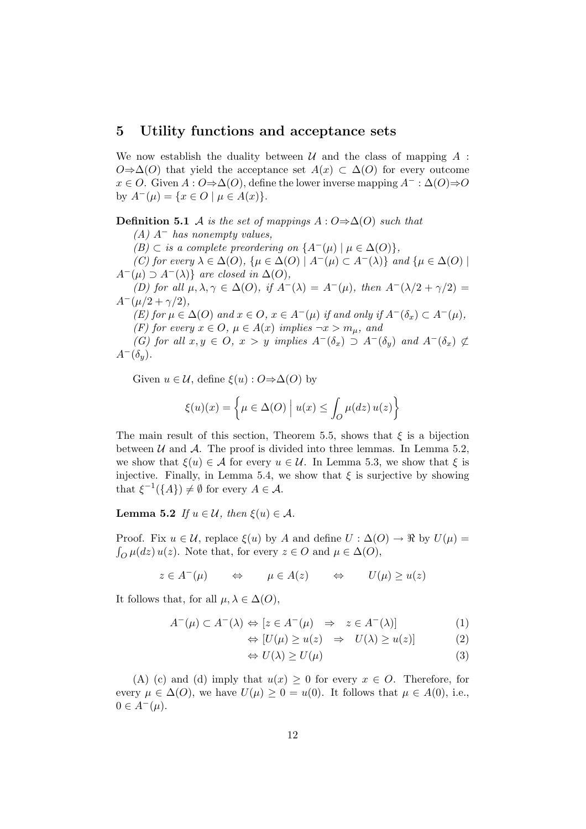#### 5 Utility functions and acceptance sets

We now establish the duality between  $\mathcal U$  and the class of mapping  $A$ :  $O\Rightarrow\Delta(O)$  that yield the acceptance set  $A(x) \subset \Delta(O)$  for every outcome  $x \in O$ . Given  $A: O \Rightarrow \Delta(O)$ , define the lower inverse mapping  $A^-: \Delta(O) \Rightarrow O$ by  $A^{-}(\mu) = \{x \in O \mid \mu \in A(x)\}.$ 

**Definition 5.1** A is the set of mappings  $A: O \Rightarrow \Delta(O)$  such that

 $(A)$  A<sup>-</sup> has nonempty values,

(B) ⊂ is a complete preordering on  $\{A^-(\mu) \mid \mu \in \Delta(O)\},\$ 

(C) for every  $\lambda \in \Delta(O)$ ,  $\{\mu \in \Delta(O) \mid A^{-}(\mu) \subset A^{-}(\lambda)\}\$  and  $\{\mu \in \Delta(O) \mid \lambda \in \Delta(O)\}\$  $A^{-}(\mu) \supset A^{-}(\lambda)$  are closed in  $\Delta(O)$ ,

(D) for all  $\mu, \lambda, \gamma \in \Delta(O)$ , if  $A^{-}(\lambda) = A^{-}(\mu)$ , then  $A^{-}(\lambda/2 + \gamma/2) =$  $A^{-}(\mu/2 + \gamma/2),$ 

(E) for  $\mu \in \Delta(O)$  and  $x \in O$ ,  $x \in A^{-}(\mu)$  if and only if  $A^{-}(\delta_{x}) \subset A^{-}(\mu)$ , (F) for every  $x \in O$ ,  $\mu \in A(x)$  implies  $\neg x > m_{\mu}$ , and

(G) for all  $x, y \in O$ ,  $x > y$  implies  $A^{-}(\delta_x) \supset A^{-}(\delta_y)$  and  $A^{-}(\delta_x) \not\subset$  $A^{-}(\delta_y)$ .

Given  $u \in \mathcal{U}$ , define  $\xi(u): O \Rightarrow \Delta(O)$  by

$$
\xi(u)(x) = \left\{ \mu \in \Delta(O) \mid u(x) \le \int_O \mu(dz) u(z) \right\}
$$

The main result of this section, Theorem 5.5, shows that  $\xi$  is a bijection between  $U$  and  $A$ . The proof is divided into three lemmas. In Lemma 5.2, we show that  $\xi(u) \in \mathcal{A}$  for every  $u \in \mathcal{U}$ . In Lemma 5.3, we show that  $\xi$  is injective. Finally, in Lemma 5.4, we show that  $\xi$  is surjective by showing that  $\xi^{-1}(\lbrace A \rbrace) \neq \emptyset$  for every  $A \in \mathcal{A}$ .

**Lemma 5.2** If  $u \in \mathcal{U}$ , then  $\xi(u) \in \mathcal{A}$ .

Proof. Fix  $u \in \mathcal{U}$ , replace  $\xi(u)$  by A and define  $U : \Delta(O) \to \Re$  by  $U(\mu) =$  $\int_{O} \mu(dz) u(z)$ . Note that, for every  $z \in O$  and  $\mu \in \Delta(O)$ ,

$$
z \in A^{-}(\mu)
$$
  $\Leftrightarrow$   $\mu \in A(z)$   $\Leftrightarrow$   $U(\mu) \ge u(z)$ 

It follows that, for all  $\mu, \lambda \in \Delta(O)$ ,

$$
A^{-}(\mu) \subset A^{-}(\lambda) \Leftrightarrow [z \in A^{-}(\mu) \Rightarrow z \in A^{-}(\lambda)] \tag{1}
$$

$$
\Leftrightarrow [U(\mu) \ge u(z) \Rightarrow U(\lambda) \ge u(z)] \tag{2}
$$

$$
\Leftrightarrow U(\lambda) \ge U(\mu) \tag{3}
$$

(A) (c) and (d) imply that  $u(x) \geq 0$  for every  $x \in O$ . Therefore, for every  $\mu \in \Delta(O)$ , we have  $U(\mu) \geq 0 = u(0)$ . It follows that  $\mu \in A(0)$ , i.e.,  $0 \in A^{-}(\mu)$ .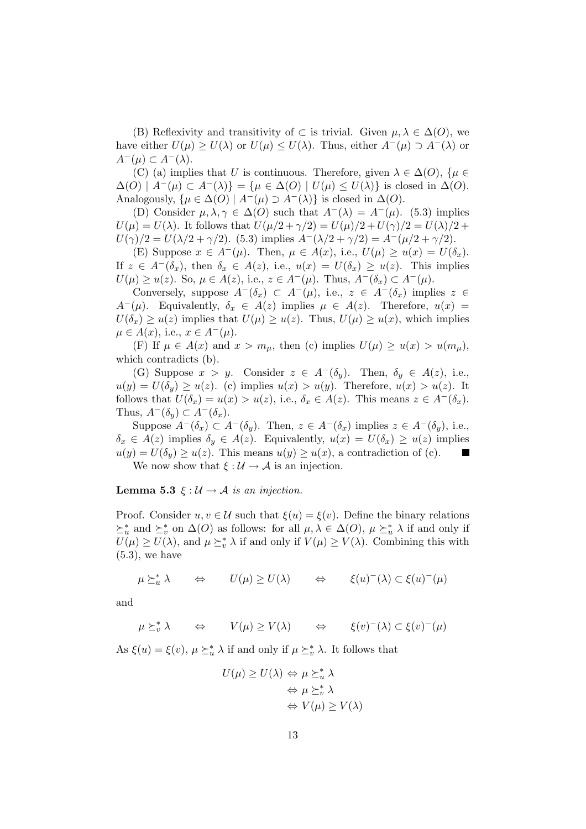(B) Reflexivity and transitivity of  $\subset$  is trivial. Given  $\mu, \lambda \in \Delta(O)$ , we have either  $U(\mu) \geq U(\lambda)$  or  $U(\mu) \leq U(\lambda)$ . Thus, either  $A^{-}(\mu) \supseteq A^{-}(\lambda)$  or  $A^{-}(\mu) \subset A^{-}(\lambda).$ 

(C) (a) implies that U is continuous. Therefore, given  $\lambda \in \Delta(O)$ ,  $\{\mu \in$  $\Delta(O) | A^{-}(\mu) \subset A^{-}(\lambda) = {\mu \in \Delta(O) | U(\mu) \leq U(\lambda)}$  is closed in  $\Delta(O)$ . Analogously,  $\{\mu \in \Delta(O) \mid A^{-}(\mu) \supset A^{-}(\lambda)\}\$ is closed in  $\Delta(O)$ .

(D) Consider  $\mu, \lambda, \gamma \in \Delta(O)$  such that  $A^{-}(\lambda) = A^{-}(\mu)$ . (5.3) implies  $U(\mu) = U(\lambda)$ . It follows that  $U(\mu/2 + \gamma/2) = U(\mu)/2 + U(\gamma)/2 = U(\lambda)/2 +$  $U(\gamma)/2 = U(\lambda/2 + \gamma/2)$ . (5.3) implies  $A^{-}(\lambda/2 + \gamma/2) = A^{-}(\mu/2 + \gamma/2)$ .

(E) Suppose  $x \in A^{-}(\mu)$ . Then,  $\mu \in A(x)$ , i.e.,  $U(\mu) \geq u(x) = U(\delta_x)$ . If  $z \in A^{-}(\delta_x)$ , then  $\delta_x \in A(z)$ , i.e.,  $u(x) = U(\delta_x) \geq u(z)$ . This implies  $U(\mu) \ge u(z)$ . So,  $\mu \in A(z)$ , i.e.,  $z \in A^{-}(\mu)$ . Thus,  $A^{-}(\delta_x) \subset A^{-}(\mu)$ .

Conversely, suppose  $A^{-}(\delta_x) \subset A^{-}(\mu)$ , i.e.,  $z \in A^{-}(\delta_x)$  implies  $z \in$  $A^{-}(\mu)$ . Equivalently,  $\delta_x \in A(z)$  implies  $\mu \in A(z)$ . Therefore,  $u(x) =$  $U(\delta_x) \ge u(z)$  implies that  $U(\mu) \ge u(z)$ . Thus,  $U(\mu) \ge u(x)$ , which implies  $\mu \in A(x)$ , i.e.,  $x \in A^{-}(\mu)$ .

(F) If  $\mu \in A(x)$  and  $x > m_{\mu}$ , then (c) implies  $U(\mu) \geq u(x) > u(m_{\mu})$ , which contradicts (b).

(G) Suppose  $x > y$ . Consider  $z \in A^{-}(\delta_y)$ . Then,  $\delta_y \in A(z)$ , i.e.,  $u(y) = U(\delta_y) \ge u(z)$ . (c) implies  $u(x) > u(y)$ . Therefore,  $u(x) > u(z)$ . It follows that  $U(\delta_x) = u(x) > u(z)$ , i.e.,  $\delta_x \in A(z)$ . This means  $z \in A^-(\delta_x)$ . Thus,  $A^{-}(\delta_{y}) \subset A^{-}(\delta_{x}).$ 

Suppose  $A^{-}(\delta_x) \subset A^{-}(\delta_y)$ . Then,  $z \in A^{-}(\delta_x)$  implies  $z \in A^{-}(\delta_y)$ , i.e.,  $\delta_x \in A(z)$  implies  $\delta_y \in A(z)$ . Equivalently,  $u(x) = U(\delta_x) \geq u(z)$  implies  $u(y) = U(\delta_y) \ge u(z)$ . This means  $u(y) \ge u(x)$ , a contradiction of (c). ш We now show that  $\xi : \mathcal{U} \to \mathcal{A}$  is an injection.

**Lemma 5.3**  $\xi : \mathcal{U} \to \mathcal{A}$  is an injection.

Proof. Consider  $u, v \in \mathcal{U}$  such that  $\xi(u) = \xi(v)$ . Define the binary relations  $\succeq_u^*$  and  $\succeq_v^*$  on  $\Delta(O)$  as follows: for all  $\mu, \lambda \in \Delta(O)$ ,  $\mu \succeq_u^* \lambda$  if and only if  $U(\mu) \geq U(\lambda)$ , and  $\mu \succeq_v^* \lambda$  if and only if  $V(\mu) \geq V(\lambda)$ . Combining this with  $(5.3)$ , we have

$$
\mu \succeq_u^* \lambda \qquad \Leftrightarrow \qquad U(\mu) \ge U(\lambda) \qquad \Leftrightarrow \qquad \xi(u)^-(\lambda) \subset \xi(u)^-(\mu)
$$

and

$$
\mu \succeq_v^* \lambda \qquad \Leftrightarrow \qquad V(\mu) \ge V(\lambda) \qquad \Leftrightarrow \qquad \xi(v)^-(\lambda) \subset \xi(v)^-(\mu)
$$

As  $\xi(u) = \xi(v)$ ,  $\mu \succeq_u^* \lambda$  if and only if  $\mu \succeq_v^* \lambda$ . It follows that

$$
U(\mu) \geq U(\lambda) \Leftrightarrow \mu \geq_u^* \lambda
$$
  
\n
$$
\Leftrightarrow \mu \geq_v^* \lambda
$$
  
\n
$$
\Leftrightarrow V(\mu) \geq V(\lambda)
$$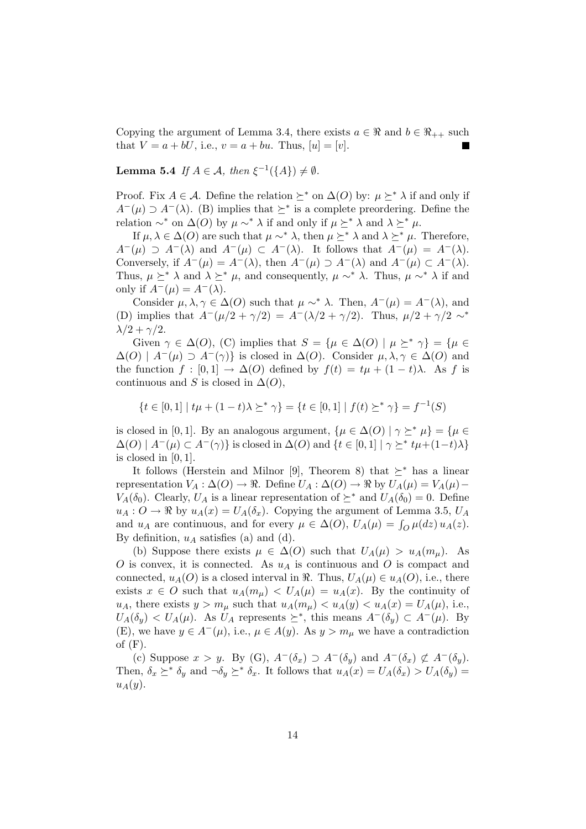Copying the argument of Lemma 3.4, there exists  $a \in \Re$  and  $b \in \Re_{++}$  such that  $V = a + bU$ , i.e.,  $v = a + bu$ . Thus,  $[u] = [v]$ .

**Lemma 5.4** If  $A \in \mathcal{A}$ , then  $\xi^{-1}(\{A\}) \neq \emptyset$ .

Proof. Fix  $A \in \mathcal{A}$ . Define the relation  $\succeq^*$  on  $\Delta(O)$  by:  $\mu \succeq^* \lambda$  if and only if  $A^{-}(\mu) \supseteq A^{-}(\lambda)$ . (B) implies that  $\succeq^*$  is a complete preordering. Define the relation  $\sim^*$  on  $\Delta(O)$  by  $\mu \sim^* \lambda$  if and only if  $\mu \succeq^* \lambda$  and  $\lambda \succeq^* \mu$ .

If  $\mu, \lambda \in \Delta(O)$  are such that  $\mu \sim^* \lambda$ , then  $\mu \succeq^* \lambda$  and  $\lambda \succeq^* \mu$ . Therefore,  $A^{-}(\mu) \supseteq A^{-}(\lambda)$  and  $A^{-}(\mu) \subsetneq A^{-}(\lambda)$ . It follows that  $A^{-}(\mu) = A^{-}(\lambda)$ . Conversely, if  $A^{-}(\mu) = A^{-}(\lambda)$ , then  $A^{-}(\mu) \supset A^{-}(\lambda)$  and  $A^{-}(\mu) \subset A^{-}(\lambda)$ . Thus,  $\mu \succ^* \lambda$  and  $\lambda \succ^* \mu$ , and consequently,  $\mu \sim^* \lambda$ . Thus,  $\mu \sim^* \lambda$  if and only if  $A^{-}(\mu) = A^{-}(\lambda)$ .

Consider  $\mu, \lambda, \gamma \in \Delta(O)$  such that  $\mu \sim^* \lambda$ . Then,  $A^{-}(\mu) = A^{-}(\lambda)$ , and (D) implies that  $A^{-}(\mu/2 + \gamma/2) = A^{-}(\lambda/2 + \gamma/2)$ . Thus,  $\mu/2 + \gamma/2 \sim^*$  $\lambda/2 + \gamma/2$ .

Given  $\gamma \in \Delta(O)$ , (C) implies that  $S = {\mu \in \Delta(O) | \mu \succeq^* \gamma} = {\mu \in \Delta(O)}$  $\Delta(O)$  |  $A^{-}(\mu) \supseteq A^{-}(\gamma)$ } is closed in  $\Delta(O)$ . Consider  $\mu, \lambda, \gamma \in \Delta(O)$  and the function  $f : [0,1] \to \Delta(O)$  defined by  $f(t) = t\mu + (1-t)\lambda$ . As f is continuous and S is closed in  $\Delta(O)$ ,

 ${t \in [0,1] | t\mu + (1-t)\lambda \succeq^* \gamma} = {t \in [0,1] | f(t) \succeq^* \gamma} = f^{-1}(S)$ 

is closed in [0, 1]. By an analogous argument,  $\{\mu \in \Delta(O) \mid \gamma \succeq^* \mu\} = \{\mu \in$  $\Delta(O) | A^{-}(\mu) \subset A^{-}(\gamma)$  is closed in  $\Delta(O)$  and  $\{t \in [0,1] | \gamma \succeq^* t\mu + (1-t)\lambda\}$ is closed in  $[0, 1]$ .

It follows (Herstein and Milnor [9], Theorem 8) that  $\succeq^*$  has a linear representation  $V_A : \Delta(O) \to \Re$ . Define  $U_A : \Delta(O) \to \Re$  by  $U_A(\mu) = V_A(\mu) V_A(\delta_0)$ . Clearly,  $U_A$  is a linear representation of  $\succeq^*$  and  $U_A(\delta_0) = 0$ . Define  $u_A: O \to \mathbb{R}$  by  $u_A(x) = U_A(\delta_x)$ . Copying the argument of Lemma 3.5,  $U_A$  $u_A : O \to \pi$  by  $u_A(x) = O_A(v_x)$ . Copying the argument of Lemma 3.3,  $O_A$ <br>and  $u_A$  are continuous, and for every  $\mu \in \Delta(O)$ ,  $U_A(\mu) = \int_O \mu(dz) u_A(z)$ . By definition,  $u_A$  satisfies (a) and (d).

(b) Suppose there exists  $\mu \in \Delta(O)$  such that  $U_A(\mu) > u_A(m_\mu)$ . As  $O$  is convex, it is connected. As  $u_A$  is continuous and  $O$  is compact and connected,  $u_A(O)$  is a closed interval in  $\Re$ . Thus,  $U_A(\mu) \in u_A(O)$ , i.e., there exists  $x \in O$  such that  $u_A(m_\mu) < U_A(\mu) = u_A(x)$ . By the continuity of  $u_A$ , there exists  $y > m_\mu$  such that  $u_A(m_\mu) < u_A(y) < u_A(x) = U_A(\mu)$ , i.e.,  $U_A(\delta_y) < U_A(\mu)$ . As  $U_A$  represents  $\succeq^*$ , this means  $A^-(\delta_y) \subset A^-(\mu)$ . By (E), we have  $y \in A^{-}(\mu)$ , i.e.,  $\mu \in A(y)$ . As  $y > m_{\mu}$  we have a contradiction of  $(F)$ .

(c) Suppose  $x > y$ . By (G),  $A^{-}(\delta_x) \supset A^{-}(\delta_y)$  and  $A^{-}(\delta_x) \not\subset A^{-}(\delta_y)$ . Then,  $\delta_x \succeq^* \delta_y$  and  $\neg \delta_y \succeq^* \delta_x$ . It follows that  $u_A(x) = U_A(\delta_x) > U_A(\delta_y) =$  $u_A(y)$ .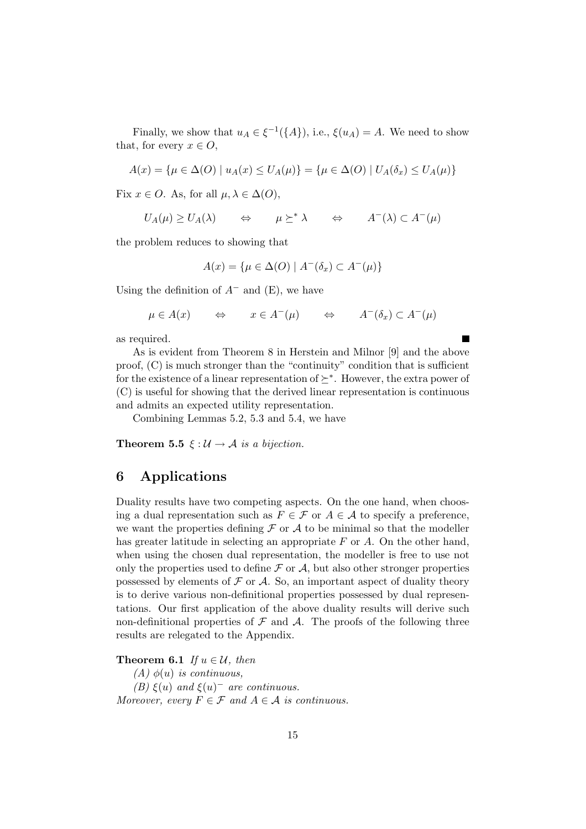Finally, we show that  $u_A \in \xi^{-1}(\{A\})$ , i.e.,  $\xi(u_A) = A$ . We need to show that, for every  $x \in O$ ,

$$
A(x) = \{ \mu \in \Delta(O) \mid u_A(x) \le U_A(\mu) \} = \{ \mu \in \Delta(O) \mid U_A(\delta_x) \le U_A(\mu) \}
$$

Fix  $x \in O$ . As, for all  $\mu, \lambda \in \Delta(O)$ ,

$$
U_A(\mu) \ge U_A(\lambda) \qquad \Leftrightarrow \qquad \mu \succeq^* \lambda \qquad \Leftrightarrow \qquad A^-(\lambda) \subset A^-(\mu)
$$

the problem reduces to showing that

$$
A(x) = \{ \mu \in \Delta(O) \mid A^-(\delta_x) \subset A^-(\mu) \}
$$

Using the definition of  $A^-$  and (E), we have

 $\mu \in A(x) \qquad \Leftrightarrow \qquad x \in A^-(\mu) \qquad \Leftrightarrow \qquad A^-(\delta_x) \subset A^-(\mu)$ 

as required.

As is evident from Theorem 8 in Herstein and Milnor [9] and the above proof, (C) is much stronger than the "continuity" condition that is sufficient for the existence of a linear representation of  $\succeq^*$ . However, the extra power of (C) is useful for showing that the derived linear representation is continuous and admits an expected utility representation.

Combining Lemmas 5.2, 5.3 and 5.4, we have

**Theorem 5.5**  $\xi : \mathcal{U} \to \mathcal{A}$  is a bijection.

## 6 Applications

Duality results have two competing aspects. On the one hand, when choosing a dual representation such as  $F \in \mathcal{F}$  or  $A \in \mathcal{A}$  to specify a preference, we want the properties defining  $\mathcal F$  or  $\mathcal A$  to be minimal so that the modeller has greater latitude in selecting an appropriate  $F$  or  $A$ . On the other hand, when using the chosen dual representation, the modeller is free to use not only the properties used to define  $\mathcal F$  or  $\mathcal A$ , but also other stronger properties possessed by elements of  $\mathcal F$  or  $\mathcal A$ . So, an important aspect of duality theory is to derive various non-definitional properties possessed by dual representations. Our first application of the above duality results will derive such non-definitional properties of  $\mathcal F$  and  $\mathcal A$ . The proofs of the following three results are relegated to the Appendix.

**Theorem 6.1** If  $u \in \mathcal{U}$ , then

 $(A)$   $\phi(u)$  is continuous, (B)  $\xi(u)$  and  $\xi(u)$ <sup>-</sup> are continuous. Moreover, every  $F \in \mathcal{F}$  and  $A \in \mathcal{A}$  is continuous.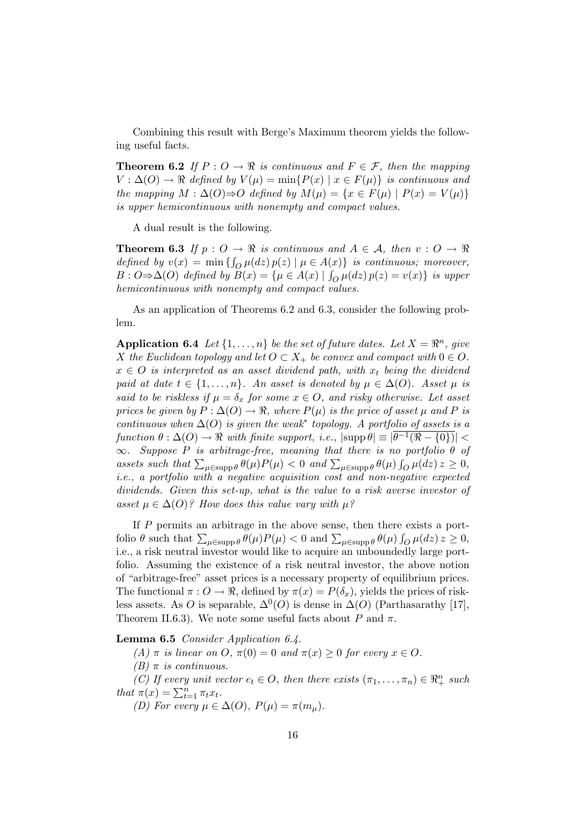Combining this result with Berge's Maximum theorem yields the following useful facts.

**Theorem 6.2** If  $P: O \to \Re$  is continuous and  $F \in \mathcal{F}$ , then the mapping  $V : \Delta(O) \rightarrow \Re$  defined by  $V(\mu) = \min\{P(x) \mid x \in F(\mu)\}\$ is continuous and the mapping  $M : \Delta(O) \Rightarrow O$  defined by  $M(\mu) = \{x \in F(\mu) \mid P(x) = V(\mu)\}\$ is upper hemicontinuous with nonempty and compact values.

A dual result is the following.

**Theorem 6.3** If  $p : O \to \mathbb{R}$  is continuous and  $A \in \mathcal{A}$ , then  $v : O \to \mathbb{R}$ defined by  $v(x) = \min \{ \int_{\Omega} \mu(dz) p(z) \mid \mu \in A(x) \}$  is continuous; moreover,  $B: O \Rightarrow \Delta(O)$  defined by  $B(x) = { \mu \in A(x) | \int_O \mu(dz) p(z) = v(x) }$  is upper hemicontinuous with nonempty and compact values.

As an application of Theorems 6.2 and 6.3, consider the following problem.

**Application 6.4** Let  $\{1, \ldots, n\}$  be the set of future dates. Let  $X = \mathbb{R}^n$ , give X the Euclidean topology and let  $O \subset X_+$  be convex and compact with  $0 \in O$ .  $x \in O$  is interpreted as an asset dividend path, with  $x_t$  being the dividend paid at date  $t \in \{1, \ldots, n\}$ . An asset is denoted by  $\mu \in \Delta(O)$ . Asset  $\mu$  is said to be riskless if  $\mu = \delta_x$  for some  $x \in O$ , and risky otherwise. Let asset prices be given by  $P : \Delta(O) \to \Re$ , where  $P(\mu)$  is the price of asset  $\mu$  and P is continuous when  $\Delta(O)$  is given the weak<sup>\*</sup> topology. A portfolio of assets is a function  $\theta : \Delta(O) \to \Re$  with finite support, i.e.,  $|\text{supp }\theta| \equiv |\theta^{-1}(\Re - \{0\})|$  $\infty$ . Suppose P is arbitrage-free, meaning that there is no portfolio  $\theta$  of  $\infty$ . Duppose 1 is drottlage-free, meaning that there is no portfolio 0 by<br>assets such that  $\sum_{\mu \in \text{supp }\theta} \theta(\mu)P(\mu) < 0$  and  $\sum_{\mu \in \text{supp }\theta} \theta(\mu) \int_{Q} \mu(dz) z \geq 0$ , i.e., a portfolio with a negative acquisition cost and non-negative expected dividends. Given this set-up, what is the value to a risk averse investor of asset  $\mu \in \Delta(O)$ ? How does this value vary with  $\mu$ ?

If P permits an arbitrage in the above sense, then there exists a portfolio  $\theta$  such that  $\sum_{\mu \in \text{supp }\theta} \theta(\mu)P(\mu) < 0$  and  $\sum_{\mu \in \text{supp }\theta} \theta(\mu) \int_{Q} \mu(dz) z \geq 0$ , i.e., a risk neutral investor would like to acquire an unboundedly large portfolio. Assuming the existence of a risk neutral investor, the above notion of "arbitrage-free" asset prices is a necessary property of equilibrium prices. The functional  $\pi: O \to \Re$ , defined by  $\pi(x) = P(\delta_x)$ , yields the prices of riskless assets. As O is separable,  $\Delta^{0}(O)$  is dense in  $\Delta(O)$  (Parthasarathy [17], Theorem II.6.3). We note some useful facts about P and  $\pi$ .

Lemma 6.5 Consider Application 6.4.

(A)  $\pi$  is linear on O,  $\pi(0) = 0$  and  $\pi(x) \geq 0$  for every  $x \in O$ .

 $(B)$   $\pi$  is continuous.

(C) If every unit vector  $e_t \in O$ , then there exists  $(\pi_1, \ldots, \pi_n) \in \mathbb{R}_+^n$  such that  $\pi(x) = \sum_{t=1}^n \pi_t x_t$ .

(D) For every  $\mu \in \Delta(O)$ ,  $P(\mu) = \pi(m_{\mu})$ .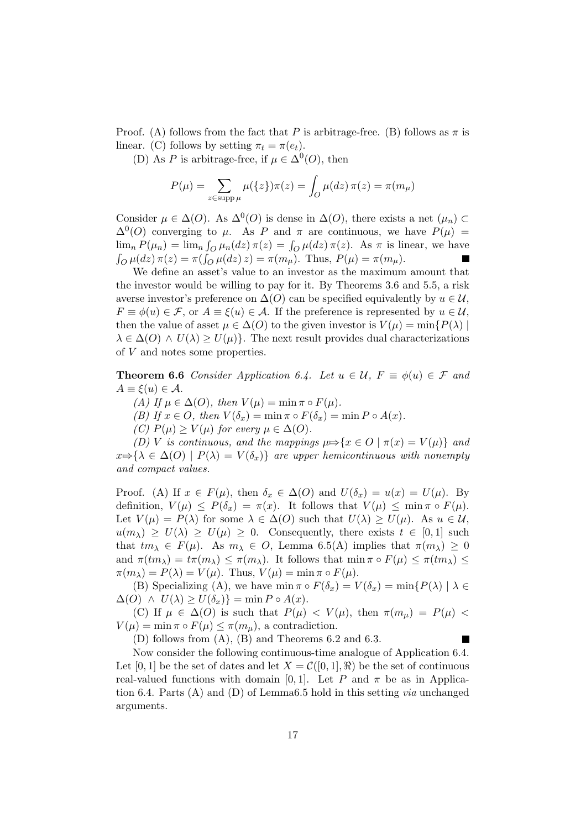Proof. (A) follows from the fact that P is arbitrage-free. (B) follows as  $\pi$  is linear. (C) follows by setting  $\pi_t = \pi(e_t)$ .

(D) As P is arbitrage-free, if  $\mu \in \Delta^{0}(O)$ , then

$$
P(\mu) = \sum_{z \in \text{supp}\,\mu} \mu(\{z\})\pi(z) = \int_O \mu(dz)\,\pi(z) = \pi(m_\mu)
$$

Consider  $\mu \in \Delta(O)$ . As  $\Delta^{0}(O)$  is dense in  $\Delta(O)$ , there exists a net  $(\mu_n) \subset$  $\Delta^{0}(O)$  converging to  $\mu$ . As P and  $\pi$  are continuous, we have  $P(\mu)$  =  $\Delta$  (O) converging to  $\mu$ . As T and n are continuous, we have  $\Gamma(\mu) =$ <br>  $\lim_{n} P(\mu_n) = \lim_{n} \int_{O} \mu_n(dz) \pi(z) = \int_{O} \mu(dz) \pi(z)$ . As  $\pi$  is linear, we have  $\int_{O} \mu(dz) \, \pi(z) = \pi(\int_{O} \mu(dz) \, z) = \pi(m_{\mu}).$  Thus,  $P(\mu) = \pi(m_{\mu}).$ 

We define an asset's value to an investor as the maximum amount that the investor would be willing to pay for it. By Theorems 3.6 and 5.5, a risk averse investor's preference on  $\Delta(O)$  can be specified equivalently by  $u \in \mathcal{U}$ ,  $F \equiv \phi(u) \in \mathcal{F}$ , or  $A \equiv \xi(u) \in \mathcal{A}$ . If the preference is represented by  $u \in \mathcal{U}$ , then the value of asset  $\mu \in \Delta(O)$  to the given investor is  $V(\mu) = \min\{P(\lambda) \mid$  $\lambda \in \Delta(O) \land U(\lambda) \geq U(\mu)$ . The next result provides dual characterizations of V and notes some properties.

**Theorem 6.6** Consider Application 6.4. Let  $u \in \mathcal{U}$ ,  $F \equiv \phi(u) \in \mathcal{F}$  and  $A \equiv \xi(u) \in \mathcal{A}.$ 

(A) If  $\mu \in \Delta(O)$ , then  $V(\mu) = \min \pi \circ F(\mu)$ .

(B) If  $x \in O$ , then  $V(\delta_x) = \min \pi \circ F(\delta_x) = \min P \circ A(x)$ .

(C)  $P(\mu) \ge V(\mu)$  for every  $\mu \in \Delta(O)$ .

(D) V is continuous, and the mappings  $\mu \Rightarrow \{x \in O \mid \pi(x) = V(\mu)\}\$ and  $x \mapsto {\lambda \in \Delta(O) | P(\lambda) = V(\delta_x)}$  are upper hemicontinuous with nonempty and compact values.

Proof. (A) If  $x \in F(\mu)$ , then  $\delta_x \in \Delta(O)$  and  $U(\delta_x) = u(x) = U(\mu)$ . By definition,  $V(\mu) \leq P(\delta_x) = \pi(x)$ . It follows that  $V(\mu) \leq \min \pi \circ F(\mu)$ . Let  $V(\mu) = P(\lambda)$  for some  $\lambda \in \Delta(O)$  such that  $U(\lambda) \geq U(\mu)$ . As  $u \in \mathcal{U}$ ,  $u(m_\lambda) \geq U(\lambda) \geq U(\mu) \geq 0$ . Consequently, there exists  $t \in [0,1]$  such that  $tm_{\lambda} \in F(\mu)$ . As  $m_{\lambda} \in O$ , Lemma 6.5(A) implies that  $\pi(m_{\lambda}) \geq 0$ and  $\pi(tm_{\lambda}) = t\pi(m_{\lambda}) \leq \pi(m_{\lambda})$ . It follows that  $\min \pi \circ F(\mu) \leq \pi(tm_{\lambda}) \leq$  $\pi(m_{\lambda}) = P(\lambda) = V(\mu)$ . Thus,  $V(\mu) = \min \pi \circ F(\mu)$ .

(B) Specializing (A), we have min  $\pi \circ F(\delta_x) = V(\delta_x) = \min\{P(\lambda) \mid \lambda \in$  $\Delta(O) \wedge U(\lambda) \geq U(\delta_x) = \min P \circ A(x).$ 

(C) If  $\mu \in \Delta(O)$  is such that  $P(\mu) < V(\mu)$ , then  $\pi(m_{\mu}) = P(\mu)$  $V(\mu) = \min \pi \circ F(\mu) \leq \pi(m_{\mu}),$  a contradiction.

(D) follows from (A), (B) and Theorems 6.2 and 6.3.

П

Now consider the following continuous-time analogue of Application 6.4. Let [0, 1] be the set of dates and let  $X = \mathcal{C}([0,1], \mathcal{R})$  be the set of continuous real-valued functions with domain [0, 1]. Let P and  $\pi$  be as in Application 6.4. Parts  $(A)$  and  $(D)$  of Lemma6.5 hold in this setting *via* unchanged arguments.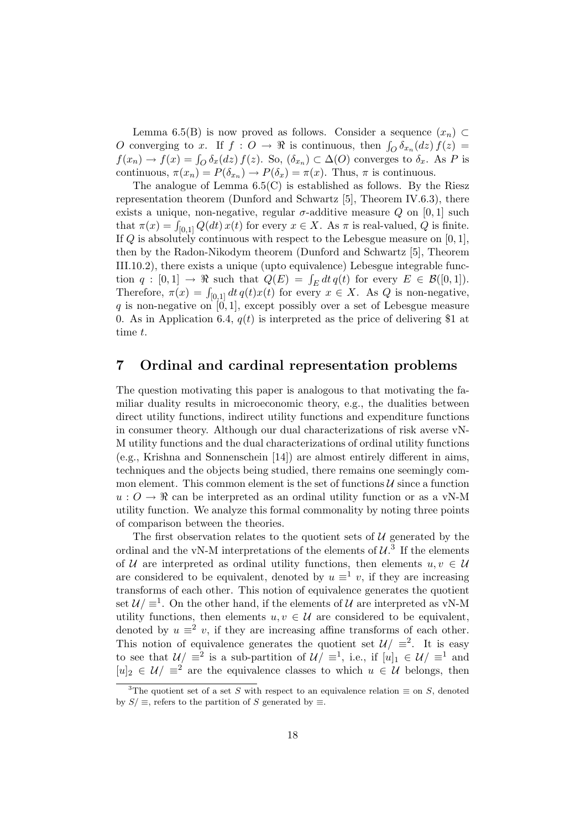Lemma 6.5(B) is now proved as follows. Consider a sequence  $(x_n)$ Definite 0.9(B) is now proved as follows. Consider a sequence  $(x_n) \subseteq$ <br>O converging to x. If  $f: O \to \Re$  is continuous, then  $\int_O \delta_{x_n}(dz) f(z) =$  $f(x_n) \to f(x) = \int_O \delta_x(dz) f(z)$ . So,  $(\delta_{x_n}) \subset \Delta(O)$  converges to  $\delta_x$ . As P is continuous,  $\pi(x_n) = P(\delta_{x_n}) \to P(\delta_x) = \pi(x)$ . Thus,  $\pi$  is continuous.

The analogue of Lemma  $6.5(C)$  is established as follows. By the Riesz representation theorem (Dunford and Schwartz [5], Theorem IV.6.3), there exists a unique, non-negative, regular  $\sigma$ -additive measure Q on [0, 1] such that  $\pi(x) = \int_{[0,1]} Q(dt) x(t)$  for every  $x \in X$ . As  $\pi$  is real-valued, Q is finite. If Q is absolutely continuous with respect to the Lebesgue measure on  $[0, 1]$ , then by the Radon-Nikodym theorem (Dunford and Schwartz [5], Theorem III.10.2), there exists a unique (upto equivalence) Lebesgue integrable function  $q : [0,1] \to \Re$  such that  $Q(E) = \int_E dt q(t)$  for every  $E \in \mathcal{B}([0,1])$ . Therefore,  $\pi(x) = \int_{[0,1]} dt q(t)x(t)$  for every  $x \in X$ . As Q is non-negative, q is non-negative on  $[0, 1]$ , except possibly over a set of Lebesgue measure 0. As in Application 6.4,  $q(t)$  is interpreted as the price of delivering \$1 at time t.

#### 7 Ordinal and cardinal representation problems

The question motivating this paper is analogous to that motivating the familiar duality results in microeconomic theory, e.g., the dualities between direct utility functions, indirect utility functions and expenditure functions in consumer theory. Although our dual characterizations of risk averse vN-M utility functions and the dual characterizations of ordinal utility functions (e.g., Krishna and Sonnenschein [14]) are almost entirely different in aims, techniques and the objects being studied, there remains one seemingly common element. This common element is the set of functions  $\mathcal U$  since a function  $u: O \to \Re$  can be interpreted as an ordinal utility function or as a vN-M utility function. We analyze this formal commonality by noting three points of comparison between the theories.

The first observation relates to the quotient sets of  $U$  generated by the ordinal and the vN-M interpretations of the elements of  $\mathcal{U}^{3}$ . If the elements of U are interpreted as ordinal utility functions, then elements  $u, v \in U$ are considered to be equivalent, denoted by  $u \equiv 1$  v, if they are increasing transforms of each other. This notion of equivalence generates the quotient set  $\mathcal{U}/\equiv^1$ . On the other hand, if the elements of  $\mathcal{U}$  are interpreted as vN-M utility functions, then elements  $u, v \in \mathcal{U}$  are considered to be equivalent, denoted by  $u \equiv^2 v$ , if they are increasing affine transforms of each other. This notion of equivalence generates the quotient set  $\mathcal{U}/\equiv^2$ . It is easy to see that  $\mathcal{U}\rangle \equiv^2$  is a sub-partition of  $\mathcal{U}\rangle \equiv^1$ , i.e., if  $[u]_1 \in \mathcal{U}\rangle \equiv^1$  and  $[u]_2 \in \mathcal{U} \equiv^2$  are the equivalence classes to which  $u \in \mathcal{U}$  belongs, then

<sup>&</sup>lt;sup>3</sup>The quotient set of a set S with respect to an equivalence relation  $\equiv$  on S, denoted by  $S/\equiv$ , refers to the partition of S generated by  $\equiv$ .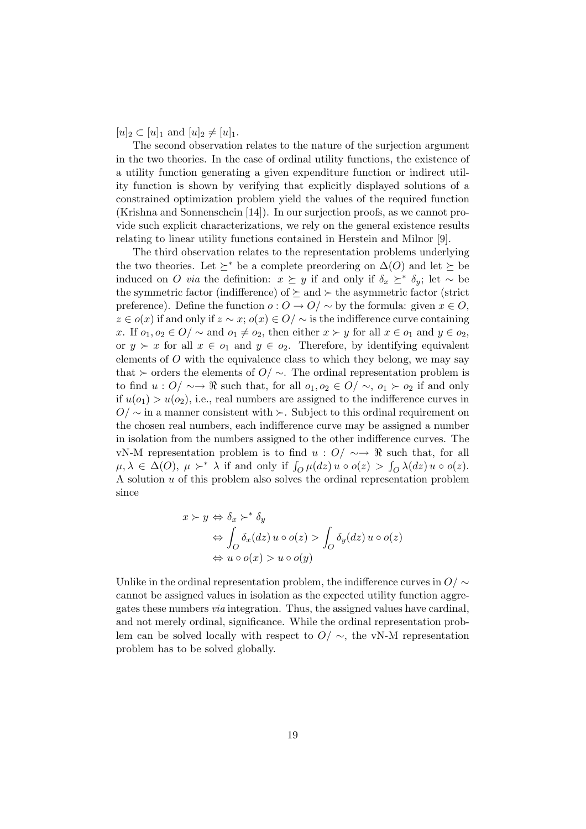$[u]_2 \subset [u]_1$  and  $[u]_2 \neq [u]_1$ .

The second observation relates to the nature of the surjection argument in the two theories. In the case of ordinal utility functions, the existence of a utility function generating a given expenditure function or indirect utility function is shown by verifying that explicitly displayed solutions of a constrained optimization problem yield the values of the required function (Krishna and Sonnenschein [14]). In our surjection proofs, as we cannot provide such explicit characterizations, we rely on the general existence results relating to linear utility functions contained in Herstein and Milnor [9].

The third observation relates to the representation problems underlying the two theories. Let  $\succeq^*$  be a complete preordering on  $\Delta(O)$  and let  $\succeq$  be induced on O via the definition:  $x \succeq y$  if and only if  $\delta_x \succeq^* \delta_y$ ; let ~ be the symmetric factor (indifference) of  $\succeq$  and  $\succeq$  the asymmetric factor (strict preference). Define the function  $o: O \to O/\sim$  by the formula: given  $x \in O$ ,  $z \in o(x)$  if and only if  $z \sim x$ ;  $o(x) \in O/\sim$  is the indifference curve containing x. If  $o_1, o_2 \in O/\sim$  and  $o_1 \neq o_2$ , then either  $x \succ y$  for all  $x \in o_1$  and  $y \in o_2$ , or  $y \succ x$  for all  $x \in o_1$  and  $y \in o_2$ . Therefore, by identifying equivalent elements of  $O$  with the equivalence class to which they belong, we may say that  $\succ$  orders the elements of  $O/\sim$ . The ordinal representation problem is to find  $u: O \rightarrow \mathbb{R}$  such that, for all  $o_1, o_2 \in O \rightarrow o_1 \succ o_2$  if and only if  $u(o_1) > u(o_2)$ , i.e., real numbers are assigned to the indifference curves in  $O/\sim$  in a manner consistent with  $\succ$ . Subject to this ordinal requirement on the chosen real numbers, each indifference curve may be assigned a number in isolation from the numbers assigned to the other indifference curves. The vN-M representation problem is to find  $u : O / \sim \mathbb{R}$  such that, for all  $\mu, \lambda \in \Delta(O), \mu \succ^* \lambda$  if and only if  $\int_Q \mu(dz) u \circ o(z) > \int_Q \lambda(dz) u \circ o(z)$ . A solution u of this problem also solves the ordinal representation problem since

$$
x \succ y \Leftrightarrow \delta_x \succ^* \delta_y
$$
  
\n
$$
\Leftrightarrow \int_O \delta_x(dz) \, u \circ o(z) > \int_O \delta_y(dz) \, u \circ o(z)
$$
  
\n
$$
\Leftrightarrow u \circ o(x) > u \circ o(y)
$$

Unlike in the ordinal representation problem, the indifference curves in  $O/ \sim$ cannot be assigned values in isolation as the expected utility function aggregates these numbers via integration. Thus, the assigned values have cardinal, and not merely ordinal, significance. While the ordinal representation problem can be solved locally with respect to  $O/ \sim$ , the vN-M representation problem has to be solved globally.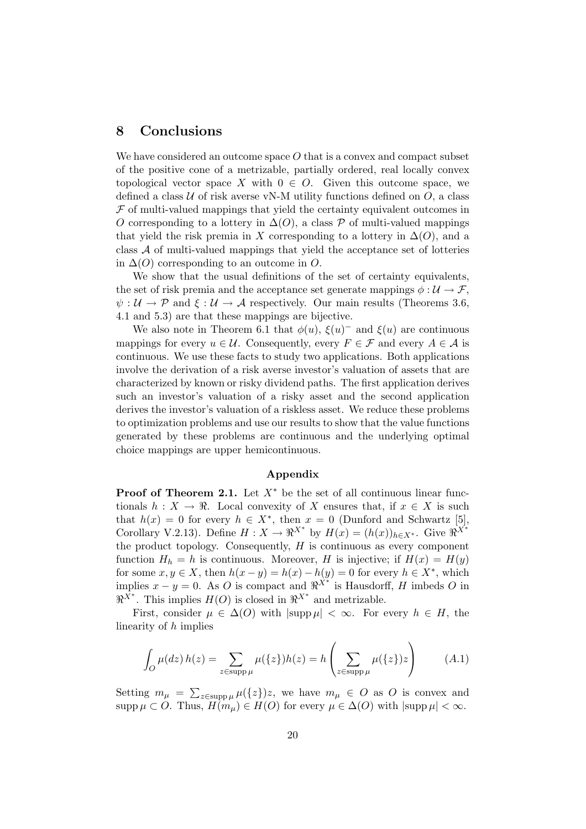### 8 Conclusions

We have considered an outcome space  $O$  that is a convex and compact subset of the positive cone of a metrizable, partially ordered, real locally convex topological vector space X with  $0 \in O$ . Given this outcome space, we defined a class  $U$  of risk averse vN-M utility functions defined on  $O$ , a class  $F$  of multi-valued mappings that yield the certainty equivalent outcomes in O corresponding to a lottery in  $\Delta(O)$ , a class P of multi-valued mappings that yield the risk premia in X corresponding to a lottery in  $\Delta(O)$ , and a class  $A$  of multi-valued mappings that yield the acceptance set of lotteries in  $\Delta(O)$  corresponding to an outcome in O.

We show that the usual definitions of the set of certainty equivalents, the set of risk premia and the acceptance set generate mappings  $\phi : \mathcal{U} \to \mathcal{F}$ ,  $\psi : \mathcal{U} \to \mathcal{P}$  and  $\xi : \mathcal{U} \to \mathcal{A}$  respectively. Our main results (Theorems 3.6, 4.1 and 5.3) are that these mappings are bijective.

We also note in Theorem 6.1 that  $\phi(u)$ ,  $\xi(u)$ <sup>-</sup> and  $\xi(u)$  are continuous mappings for every  $u \in \mathcal{U}$ . Consequently, every  $F \in \mathcal{F}$  and every  $A \in \mathcal{A}$  is continuous. We use these facts to study two applications. Both applications involve the derivation of a risk averse investor's valuation of assets that are characterized by known or risky dividend paths. The first application derives such an investor's valuation of a risky asset and the second application derives the investor's valuation of a riskless asset. We reduce these problems to optimization problems and use our results to show that the value functions generated by these problems are continuous and the underlying optimal choice mappings are upper hemicontinuous.

#### Appendix

**Proof of Theorem 2.1.** Let  $X^*$  be the set of all continuous linear functionals  $h: X \to \mathbb{R}$ . Local convexity of X ensures that, if  $x \in X$  is such that  $h(x) = 0$  for every  $h \in X^*$ , then  $x = 0$  (Dunford and Schwartz [5], Corollary V.2.13). Define  $H: X \to \mathbb{R}^{X^*}$  by  $H(x) = (h(x))_{h \in X^*}$ . Give  $\mathbb{R}^{X^*}$ the product topology. Consequently,  $H$  is continuous as every component function  $H_h = h$  is continuous. Moreover, H is injective; if  $H(x) = H(y)$ for some  $x, y \in X$ , then  $h(x - y) = h(x) - h(y) = 0$  for every  $h \in X^*$ , which implies  $x - y = 0$ . As O is compact and  $\mathbb{R}^{X^*}$  is Hausdorff, H imbeds O in  $\mathbb{R}^{\tilde{X}^*}$ . This implies  $H(O)$  is closed in  $\mathbb{R}^{X^*}$  and metrizable.

First, consider  $\mu \in \Delta(O)$  with  $|\text{supp }\mu| < \infty$ . For every  $h \in H$ , the linearity of h implies

$$
\int_{O} \mu(dz) h(z) = \sum_{z \in \text{supp}\,\mu} \mu(\{z\}) h(z) = h\left(\sum_{z \in \text{supp}\,\mu} \mu(\{z\}) z\right) \tag{A.1}
$$

Setting  $m_{\mu} = \sum_{z \in \text{supp }\mu} \mu({z})z$ , we have  $m_{\mu} \in O$  as O is convex and supp  $\mu \subset O$ . Thus,  $H(m_{\mu}) \in H(O)$  for every  $\mu \in \Delta(O)$  with  $|\text{supp }\mu| < \infty$ .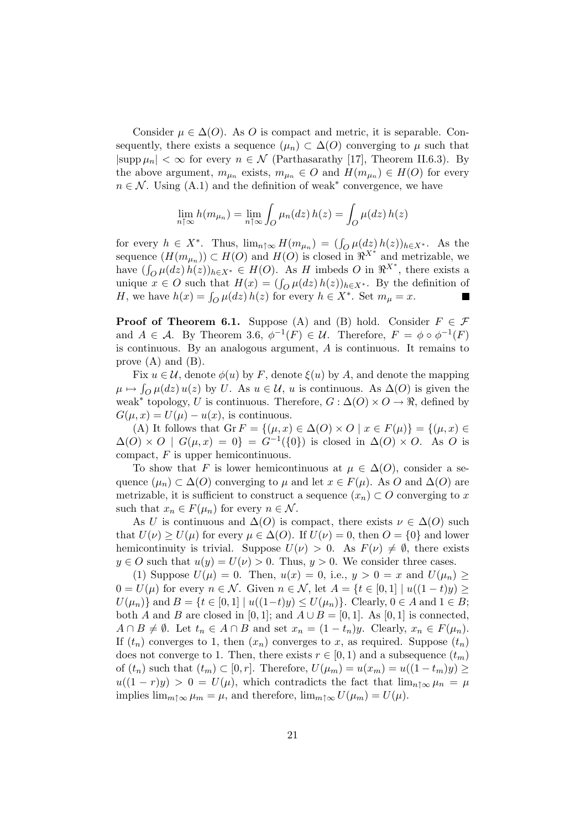Consider  $\mu \in \Delta(O)$ . As O is compact and metric, it is separable. Consequently, there exists a sequence  $(\mu_n) \subset \Delta(O)$  converging to  $\mu$  such that  $|\text{supp }\mu_n| < \infty$  for every  $n \in \mathcal{N}$  (Parthasarathy [17], Theorem II.6.3). By the above argument,  $m_{\mu_n}$  exists,  $m_{\mu_n} \in O$  and  $H(m_{\mu_n}) \in H(O)$  for every  $n \in \mathcal{N}$ . Using (A.1) and the definition of weak<sup>\*</sup> convergence, we have

$$
\lim_{n \uparrow \infty} h(m_{\mu_n}) = \lim_{n \uparrow \infty} \int_O \mu_n(dz) h(z) = \int_O \mu(dz) h(z)
$$

for every  $h \in X^*$ . Thus,  $\lim_{n \uparrow \infty} H(m_{\mu_n}) = (\int_{O} \mu(dz) h(z))_{h \in X^*}$ . As the sequence  $(H(m_{\mu_n})) \subset H(O)$  and  $H(O)$  is closed in  $\mathbb{R}^{X^*}$  and metrizable, we bave  $(\int_{Q} \mu(dz) h(z))_{h \in X^*} \in H(Q)$ . As H imbeds O in  $\Re^{X^*}$ , there exists a mave  $(\int_{O} \mu(\alpha z) h(z))_{h \in X^*} \in H(O)$ . As H impless  $O$  in  $\pi$ , there exists a unique  $x \in O$  such that  $H(x) = (\int_{O} \mu(dz) h(z))_{h \in X^*}$ . By the definition of imitude  $x \in \mathcal{O}$  such that  $H(x) = \int_{\mathcal{O}} \mu(\alpha z) h(z) \log x$ . By the contract  $H$ , we have  $h(x) = \int_{\mathcal{O}} \mu(dz) h(z)$  for every  $h \in X^*$ . Set  $m_{\mu} = x$ .

**Proof of Theorem 6.1.** Suppose (A) and (B) hold. Consider  $F \in \mathcal{F}$ and  $A \in \mathcal{A}$ . By Theorem 3.6,  $\phi^{-1}(F) \in \mathcal{U}$ . Therefore,  $F = \phi \circ \phi^{-1}(F)$ is continuous. By an analogous argument, A is continuous. It remains to prove  $(A)$  and  $(B)$ .

Fix  $u \in \mathcal{U}$ , denote  $\phi(u)$  by F, denote  $\xi(u)$  by A, and denote the mapping  $\mu \mapsto \int_{O} \mu(dz) u(z)$  by U. As  $u \in \mathcal{U}$ , u is continuous. As  $\Delta(O)$  is given the weak<sup>\*</sup> topology, U is continuous. Therefore,  $G : \Delta(O) \times O \rightarrow \Re$ , defined by  $G(\mu, x) = U(\mu) - u(x)$ , is continuous.

(A) It follows that  $\text{Gr } F = \{(\mu, x) \in \Delta(O) \times O \mid x \in F(\mu)\} = \{(\mu, x) \in$  $\Delta(O) \times O \mid G(\mu, x) = 0$  =  $G^{-1}(\{0\})$  is closed in  $\Delta(O) \times O$ . As O is compact, F is upper hemicontinuous.

To show that F is lower hemicontinuous at  $\mu \in \Delta(O)$ , consider a sequence  $(\mu_n) \subset \Delta(O)$  converging to  $\mu$  and let  $x \in F(\mu)$ . As O and  $\Delta(O)$  are metrizable, it is sufficient to construct a sequence  $(x_n) \subset O$  converging to x such that  $x_n \in F(\mu_n)$  for every  $n \in \mathcal{N}$ .

As U is continuous and  $\Delta(O)$  is compact, there exists  $\nu \in \Delta(O)$  such that  $U(\nu) \ge U(\mu)$  for every  $\mu \in \Delta(O)$ . If  $U(\nu) = 0$ , then  $O = \{0\}$  and lower hemicontinuity is trivial. Suppose  $U(\nu) > 0$ . As  $F(\nu) \neq \emptyset$ , there exists  $y \in O$  such that  $u(y) = U(\nu) > 0$ . Thus,  $y > 0$ . We consider three cases.

(1) Suppose  $U(\mu) = 0$ . Then,  $u(x) = 0$ , i.e.,  $y > 0 = x$  and  $U(\mu_n) \ge$  $0 = U(\mu)$  for every  $n \in \mathcal{N}$ . Given  $n \in \mathcal{N}$ , let  $A = \{t \in [0,1] \mid u((1-t)y) \ge$  $U(\mu_n)$  and  $B = \{t \in [0,1] \mid u((1-t)y) \leq U(\mu_n)\}\)$ . Clearly,  $0 \in A$  and  $1 \in B$ ; both A and B are closed in [0,1]; and  $A \cup B = [0, 1]$ . As [0,1] is connected,  $A \cap B \neq \emptyset$ . Let  $t_n \in A \cap B$  and set  $x_n = (1 - t_n)y$ . Clearly,  $x_n \in F(\mu_n)$ . If  $(t_n)$  converges to 1, then  $(x_n)$  converges to x, as required. Suppose  $(t_n)$ does not converge to 1. Then, there exists  $r \in [0, 1)$  and a subsequence  $(t_m)$ of  $(t_n)$  such that  $(t_m) \subset [0, r]$ . Therefore,  $U(\mu_m) = u(x_m) = u((1 - t_m)y) \ge$  $u((1 - r)y) > 0 = U(\mu)$ , which contradicts the fact that  $\lim_{n \uparrow \infty} \mu_n = \mu$ implies  $\lim_{m \uparrow \infty} \mu_m = \mu$ , and therefore,  $\lim_{m \uparrow \infty} U(\mu_m) = U(\mu)$ .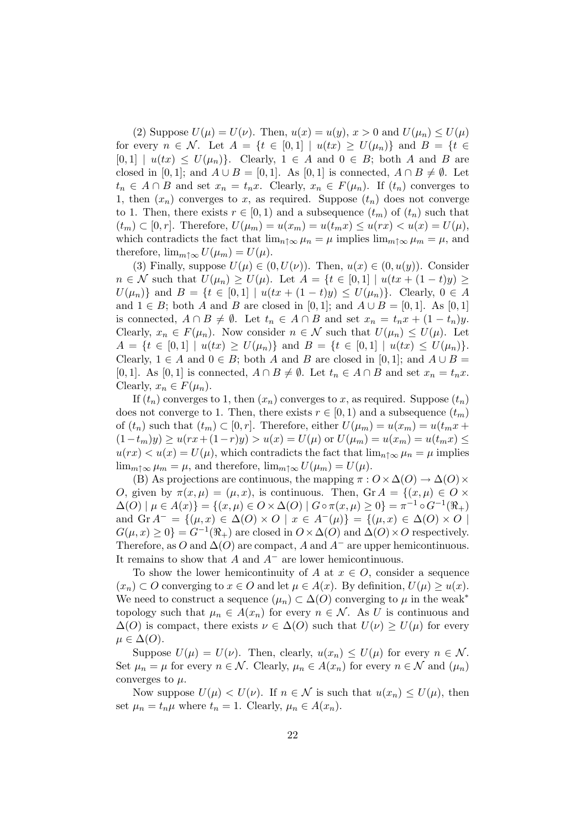(2) Suppose  $U(\mu) = U(\nu)$ . Then,  $u(x) = u(y)$ ,  $x > 0$  and  $U(\mu_n) \leq U(\mu)$ for every  $n \in \mathcal{N}$ . Let  $A = \{t \in [0,1] \mid u(tx) \geq U(\mu_n)\}\$ and  $B = \{t \in$  $[0, 1]$  |  $u(tx) \leq U(\mu_n)$ . Clearly,  $1 \in A$  and  $0 \in B$ ; both A and B are closed in [0, 1]; and  $A \cup B = [0, 1]$ . As [0, 1] is connected,  $A \cap B \neq \emptyset$ . Let  $t_n \in A \cap B$  and set  $x_n = t_n x$ . Clearly,  $x_n \in F(\mu_n)$ . If  $(t_n)$  converges to 1, then  $(x_n)$  converges to x, as required. Suppose  $(t_n)$  does not converge to 1. Then, there exists  $r \in [0,1)$  and a subsequence  $(t_m)$  of  $(t_n)$  such that  $(t_m) \subset [0, r]$ . Therefore,  $U(\mu_m) = u(x_m) = u(t_m x) \le u(rx) < u(x) = U(\mu)$ , which contradicts the fact that  $\lim_{n\uparrow\infty}\mu_n=\mu$  implies  $\lim_{m\uparrow\infty}\mu_m=\mu$ , and therefore,  $\lim_{m \uparrow \infty} U(\mu_m) = U(\mu)$ .

(3) Finally, suppose  $U(\mu) \in (0, U(\nu))$ . Then,  $u(x) \in (0, u(y))$ . Consider  $n \in \mathcal{N}$  such that  $U(\mu_n) \geq U(\mu)$ . Let  $A = \{t \in [0,1] \mid u(tx + (1-t)y) \geq 0\}$  $U(\mu_n)$  and  $B = \{t \in [0,1] \mid u(tx + (1-t)y) \leq U(\mu_n)\}.$  Clearly,  $0 \in A$ and  $1 \in B$ ; both A and B are closed in [0, 1]; and  $A \cup B = [0, 1]$ . As [0, 1] is connected,  $A \cap B \neq \emptyset$ . Let  $t_n \in A \cap B$  and set  $x_n = t_n x + (1 - t_n)y$ . Clearly,  $x_n \in F(\mu_n)$ . Now consider  $n \in \mathcal{N}$  such that  $U(\mu_n) \leq U(\mu)$ . Let  $A = \{t \in [0,1] \mid u(tx) \geq U(\mu_n)\}\$ and  $B = \{t \in [0,1] \mid u(tx) \leq U(\mu_n)\}.$ Clearly,  $1 \in A$  and  $0 \in B$ ; both A and B are closed in [0, 1]; and  $A \cup B =$ [0, 1]. As [0, 1] is connected,  $A \cap B \neq \emptyset$ . Let  $t_n \in A \cap B$  and set  $x_n = t_n x$ . Clearly,  $x_n \in F(\mu_n)$ .

If  $(t_n)$  converges to 1, then  $(x_n)$  converges to x, as required. Suppose  $(t_n)$ does not converge to 1. Then, there exists  $r \in [0, 1)$  and a subsequence  $(t_m)$ of  $(t_n)$  such that  $(t_m) \subset [0, r]$ . Therefore, either  $U(\mu_m) = u(x_m) = u(t_m x +$  $(1-t_m)y \ge u(rx+(1-r)y) > u(x) = U(\mu)$  or  $U(\mu_m) = u(x_m) = u(t_mx) \le$  $u(rx) < u(x) = U(\mu)$ , which contradicts the fact that  $\lim_{n \uparrow \infty} \mu_n = \mu$  implies  $\lim_{m \uparrow \infty} \mu_m = \mu$ , and therefore,  $\lim_{m \uparrow \infty} U(\mu_m) = U(\mu)$ .

(B) As projections are continuous, the mapping  $\pi$  :  $O \times \Delta(O) \rightarrow \Delta(O) \times$ O, given by  $\pi(x,\mu) = (\mu, x)$ , is continuous. Then,  $\text{Gr } A = \{(x,\mu) \in O \times$  $\Delta(O) | \mu \in A(x)$ } = { $(x, \mu) \in O \times \Delta(O) | G \circ \pi(x, \mu) \ge 0$ } =  $\pi^{-1} \circ G^{-1}(\Re_+)$ and  $\text{Gr } A^- = \{(\mu, x) \in \Delta(O) \times O \mid x \in A^-(\mu)\} = \{(\mu, x) \in \Delta(O) \times O \mid$  $G(\mu, x) \geq 0$ } =  $G^{-1}(\Re_+)$  are closed in  $O \times \Delta(O)$  and  $\Delta(O) \times O$  respectively. Therefore, as O and  $\Delta(O)$  are compact, A and  $A^-$  are upper hemicontinuous. It remains to show that  $A$  and  $A^-$  are lower hemicontinuous.

To show the lower hemicontinuity of A at  $x \in O$ , consider a sequence  $(x_n) \subset O$  converging to  $x \in O$  and let  $\mu \in A(x)$ . By definition,  $U(\mu) \ge u(x)$ . We need to construct a sequence  $(\mu_n) \subset \Delta(O)$  converging to  $\mu$  in the weak<sup>\*</sup> topology such that  $\mu_n \in A(x_n)$  for every  $n \in \mathcal{N}$ . As U is continuous and  $\Delta(O)$  is compact, there exists  $\nu \in \Delta(O)$  such that  $U(\nu) \geq U(\mu)$  for every  $\mu \in \Delta(O).$ 

Suppose  $U(\mu) = U(\nu)$ . Then, clearly,  $u(x_n) \leq U(\mu)$  for every  $n \in \mathcal{N}$ . Set  $\mu_n = \mu$  for every  $n \in \mathcal{N}$ . Clearly,  $\mu_n \in A(x_n)$  for every  $n \in \mathcal{N}$  and  $(\mu_n)$ converges to  $\mu$ .

Now suppose  $U(\mu) < U(\nu)$ . If  $n \in \mathcal{N}$  is such that  $u(x_n) \leq U(\mu)$ , then set  $\mu_n = t_n \mu$  where  $t_n = 1$ . Clearly,  $\mu_n \in A(x_n)$ .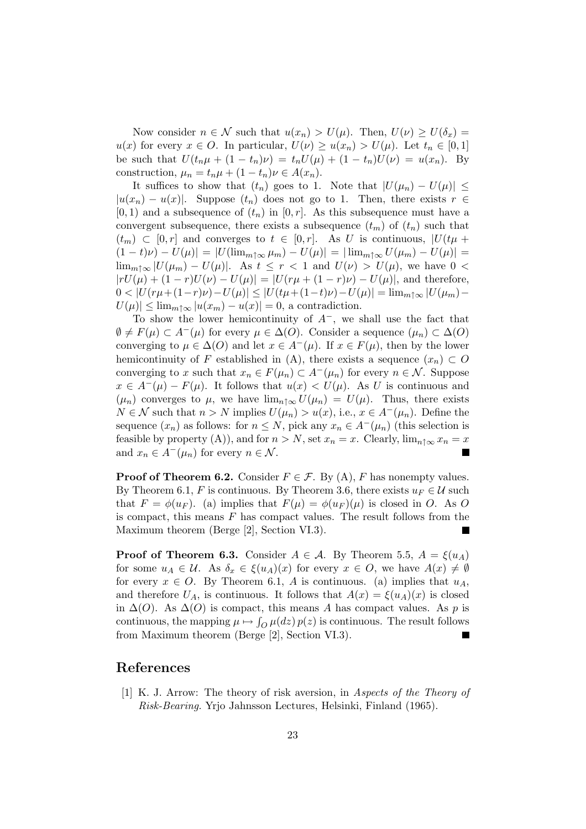Now consider  $n \in \mathcal{N}$  such that  $u(x_n) > U(\mu)$ . Then,  $U(\nu) \geq U(\delta_x)$  $u(x)$  for every  $x \in O$ . In particular,  $U(\nu) \geq u(x_n) > U(\mu)$ . Let  $t_n \in [0,1]$ be such that  $U(t_n\mu + (1 - t_n)\nu) = t_n U(\mu) + (1 - t_n)U(\nu) = u(x_n)$ . By construction,  $\mu_n = t_n \mu + (1 - t_n) \nu \in A(x_n)$ .

It suffices to show that  $(t_n)$  goes to 1. Note that  $|U(\mu_n) - U(\mu)| \le$  $|u(x_n) - u(x)|$ . Suppose  $(t_n)$  does not go to 1. Then, there exists  $r \in$  $[0, 1)$  and a subsequence of  $(t_n)$  in  $[0, r]$ . As this subsequence must have a convergent subsequence, there exists a subsequence  $(t_m)$  of  $(t_n)$  such that  $(t_m) \subset [0, r]$  and converges to  $t \in [0, r]$ . As U is continuous,  $|U(t\mu +$  $(1-t)\nu - U(\mu) = |U(\lim_{m \uparrow \infty} \mu_m) - U(\mu)| = |\lim_{m \uparrow \infty} U(\mu_m) - U(\mu)| =$  $\lim_{m \uparrow \infty} |U(\mu_m) - U(\mu)|$ . As  $t \leq r < 1$  and  $U(\nu) > U(\mu)$ , we have  $0 <$  $|rU(\mu) + (1 - r)U(\nu) - U(\mu)| = |U(r\mu) + (1 - r)\nu) - U(\mu)|$ , and therefore,  $0 < |U(rμ+(1-r)ν)-U(μ)| ≤ |U(tμ+(1-t)ν)-U(μ)| = \lim_{m\uparrow\infty} |U(\mu_m) |U(\mu)| \leq \lim_{m \uparrow \infty} |u(x_m) - u(x)| = 0$ , a contradiction.

To show the lower hemicontinuity of  $A^-$ , we shall use the fact that  $\emptyset \neq F(\mu) \subset A^{-}(\mu)$  for every  $\mu \in \Delta(O)$ . Consider a sequence  $(\mu_n) \subset \Delta(O)$ converging to  $\mu \in \Delta(O)$  and let  $x \in A^{-}(\mu)$ . If  $x \in F(\mu)$ , then by the lower hemicontinuity of F established in (A), there exists a sequence  $(x_n) \subset O$ converging to x such that  $x_n \in F(\mu_n) \subset A^{-}(\mu_n)$  for every  $n \in \mathcal{N}$ . Suppose  $x \in A^{-}(\mu) - F(\mu)$ . It follows that  $u(x) < U(\mu)$ . As U is continuous and  $(\mu_n)$  converges to  $\mu$ , we have  $\lim_{n \uparrow \infty} U(\mu_n) = U(\mu)$ . Thus, there exists  $N \in \mathcal{N}$  such that  $n > N$  implies  $U(\mu_n) > u(x)$ , i.e.,  $x \in A^-(\mu_n)$ . Define the sequence  $(x_n)$  as follows: for  $n \leq N$ , pick any  $x_n \in A^{-}(\mu_n)$  (this selection is feasible by property (A)), and for  $n > N$ , set  $x_n = x$ . Clearly,  $\lim_{n \uparrow \infty} x_n = x$ and  $x_n \in A^{-}(\mu_n)$  for every  $n \in \mathcal{N}$ .

**Proof of Theorem 6.2.** Consider  $F \in \mathcal{F}$ . By  $(A)$ , F has nonempty values. By Theorem 6.1, F is continuous. By Theorem 3.6, there exists  $u_F \in \mathcal{U}$  such that  $F = \phi(u_F)$ . (a) implies that  $F(\mu) = \phi(u_F)(\mu)$  is closed in O. As O is compact, this means  $F$  has compact values. The result follows from the Maximum theorem (Berge [2], Section VI.3).  $\blacksquare$ 

**Proof of Theorem 6.3.** Consider  $A \in \mathcal{A}$ . By Theorem 5.5,  $A = \xi(u_A)$ for some  $u_A \in \mathcal{U}$ . As  $\delta_x \in \xi(u_A)(x)$  for every  $x \in O$ , we have  $A(x) \neq \emptyset$ for every  $x \in O$ . By Theorem 6.1, A is continuous. (a) implies that  $u<sub>A</sub>$ , and therefore  $U_A$ , is continuous. It follows that  $A(x) = \xi(u_A)(x)$  is closed in  $\Delta(O)$ . As  $\Delta(O)$  is compact, this means A has compact values. As p is continuous, the mapping  $\mu \mapsto \int_{O} \mu(dz) p(z)$  is continuous. The result follows from Maximum theorem (Berge [2], Section VI.3).

#### References

[1] K. J. Arrow: The theory of risk aversion, in Aspects of the Theory of Risk-Bearing. Yrjo Jahnsson Lectures, Helsinki, Finland (1965).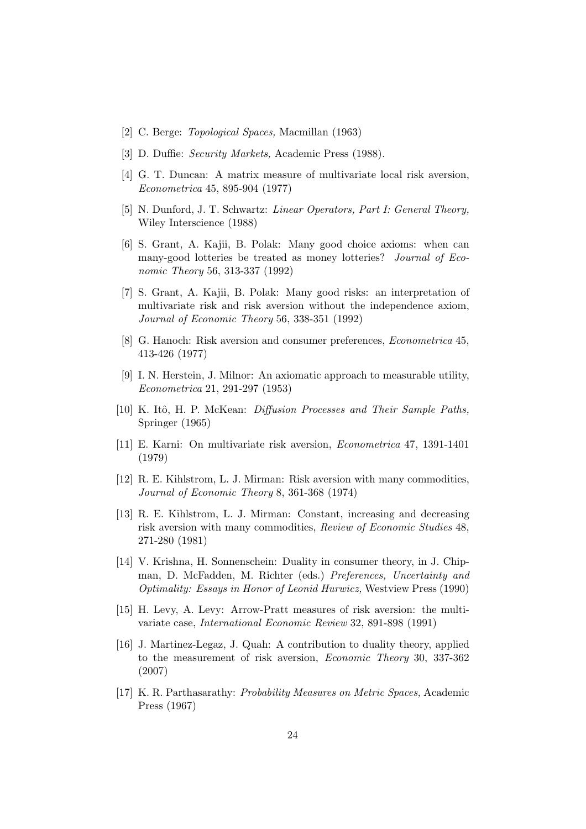- [2] C. Berge: Topological Spaces, Macmillan (1963)
- [3] D. Duffie: Security Markets, Academic Press (1988).
- [4] G. T. Duncan: A matrix measure of multivariate local risk aversion, Econometrica 45, 895-904 (1977)
- [5] N. Dunford, J. T. Schwartz: Linear Operators, Part I: General Theory, Wiley Interscience (1988)
- [6] S. Grant, A. Kajii, B. Polak: Many good choice axioms: when can many-good lotteries be treated as money lotteries? Journal of Economic Theory 56, 313-337 (1992)
- [7] S. Grant, A. Kajii, B. Polak: Many good risks: an interpretation of multivariate risk and risk aversion without the independence axiom, Journal of Economic Theory 56, 338-351 (1992)
- [8] G. Hanoch: Risk aversion and consumer preferences, Econometrica 45, 413-426 (1977)
- [9] I. N. Herstein, J. Milnor: An axiomatic approach to measurable utility, Econometrica 21, 291-297 (1953)
- [10] K. Itô, H. P. McKean: *Diffusion Processes and Their Sample Paths*, Springer (1965)
- [11] E. Karni: On multivariate risk aversion, Econometrica 47, 1391-1401 (1979)
- [12] R. E. Kihlstrom, L. J. Mirman: Risk aversion with many commodities, Journal of Economic Theory 8, 361-368 (1974)
- [13] R. E. Kihlstrom, L. J. Mirman: Constant, increasing and decreasing risk aversion with many commodities, Review of Economic Studies 48, 271-280 (1981)
- [14] V. Krishna, H. Sonnenschein: Duality in consumer theory, in J. Chipman, D. McFadden, M. Richter (eds.) Preferences, Uncertainty and Optimality: Essays in Honor of Leonid Hurwicz, Westview Press (1990)
- [15] H. Levy, A. Levy: Arrow-Pratt measures of risk aversion: the multivariate case, International Economic Review 32, 891-898 (1991)
- [16] J. Martinez-Legaz, J. Quah: A contribution to duality theory, applied to the measurement of risk aversion, Economic Theory 30, 337-362 (2007)
- [17] K. R. Parthasarathy: Probability Measures on Metric Spaces, Academic Press (1967)